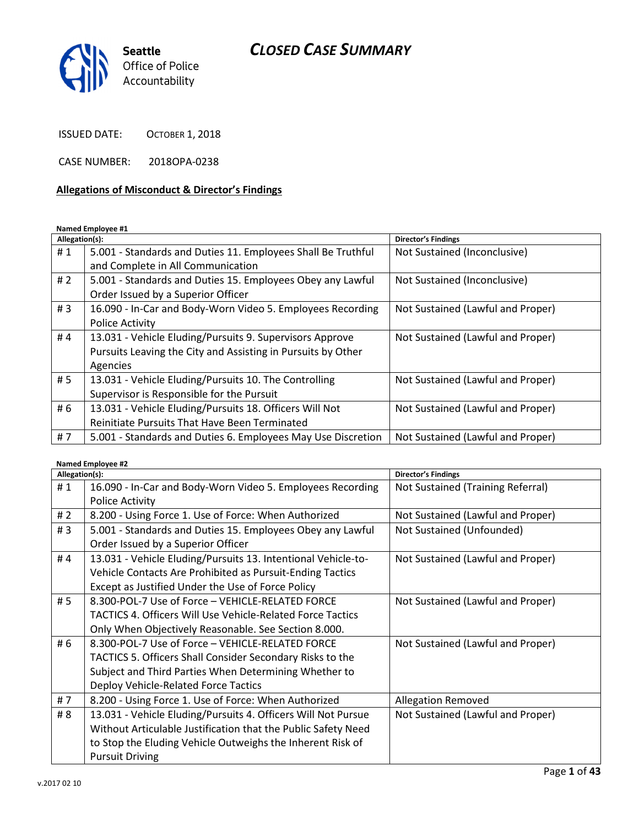

ISSUED DATE: OCTOBER 1, 2018

CASE NUMBER: 2018OPA-0238

# Allegations of Misconduct & Director's Findings

Named Employee #1

| Allegation(s): |                                                              | <b>Director's Findings</b>        |
|----------------|--------------------------------------------------------------|-----------------------------------|
| #1             | 5.001 - Standards and Duties 11. Employees Shall Be Truthful | Not Sustained (Inconclusive)      |
|                | and Complete in All Communication                            |                                   |
| #2             | 5.001 - Standards and Duties 15. Employees Obey any Lawful   | Not Sustained (Inconclusive)      |
|                | Order Issued by a Superior Officer                           |                                   |
| #3             | 16.090 - In-Car and Body-Worn Video 5. Employees Recording   | Not Sustained (Lawful and Proper) |
|                | <b>Police Activity</b>                                       |                                   |
| #4             | 13.031 - Vehicle Eluding/Pursuits 9. Supervisors Approve     | Not Sustained (Lawful and Proper) |
|                | Pursuits Leaving the City and Assisting in Pursuits by Other |                                   |
|                | Agencies                                                     |                                   |
| #5             | 13.031 - Vehicle Eluding/Pursuits 10. The Controlling        | Not Sustained (Lawful and Proper) |
|                | Supervisor is Responsible for the Pursuit                    |                                   |
| # 6            | 13.031 - Vehicle Eluding/Pursuits 18. Officers Will Not      | Not Sustained (Lawful and Proper) |
|                | Reinitiate Pursuits That Have Been Terminated                |                                   |
| #7             | 5.001 - Standards and Duties 6. Employees May Use Discretion | Not Sustained (Lawful and Proper) |

| Allegation(s): |                                                                   | <b>Director's Findings</b>        |
|----------------|-------------------------------------------------------------------|-----------------------------------|
| #1             | 16.090 - In-Car and Body-Worn Video 5. Employees Recording        | Not Sustained (Training Referral) |
|                | <b>Police Activity</b>                                            |                                   |
| #2             | 8.200 - Using Force 1. Use of Force: When Authorized              | Not Sustained (Lawful and Proper) |
| #3             | 5.001 - Standards and Duties 15. Employees Obey any Lawful        | Not Sustained (Unfounded)         |
|                | Order Issued by a Superior Officer                                |                                   |
| #4             | 13.031 - Vehicle Eluding/Pursuits 13. Intentional Vehicle-to-     | Not Sustained (Lawful and Proper) |
|                | Vehicle Contacts Are Prohibited as Pursuit-Ending Tactics         |                                   |
|                | Except as Justified Under the Use of Force Policy                 |                                   |
| #5             | 8.300-POL-7 Use of Force - VEHICLE-RELATED FORCE                  | Not Sustained (Lawful and Proper) |
|                | <b>TACTICS 4. Officers Will Use Vehicle-Related Force Tactics</b> |                                   |
|                | Only When Objectively Reasonable. See Section 8.000.              |                                   |
| # 6            | 8.300-POL-7 Use of Force - VEHICLE-RELATED FORCE                  | Not Sustained (Lawful and Proper) |
|                | TACTICS 5. Officers Shall Consider Secondary Risks to the         |                                   |
|                | Subject and Third Parties When Determining Whether to             |                                   |
|                | Deploy Vehicle-Related Force Tactics                              |                                   |
| # $7$          | 8.200 - Using Force 1. Use of Force: When Authorized              | <b>Allegation Removed</b>         |
| # 8            | 13.031 - Vehicle Eluding/Pursuits 4. Officers Will Not Pursue     | Not Sustained (Lawful and Proper) |
|                | Without Articulable Justification that the Public Safety Need     |                                   |
|                | to Stop the Eluding Vehicle Outweighs the Inherent Risk of        |                                   |
|                | <b>Pursuit Driving</b>                                            |                                   |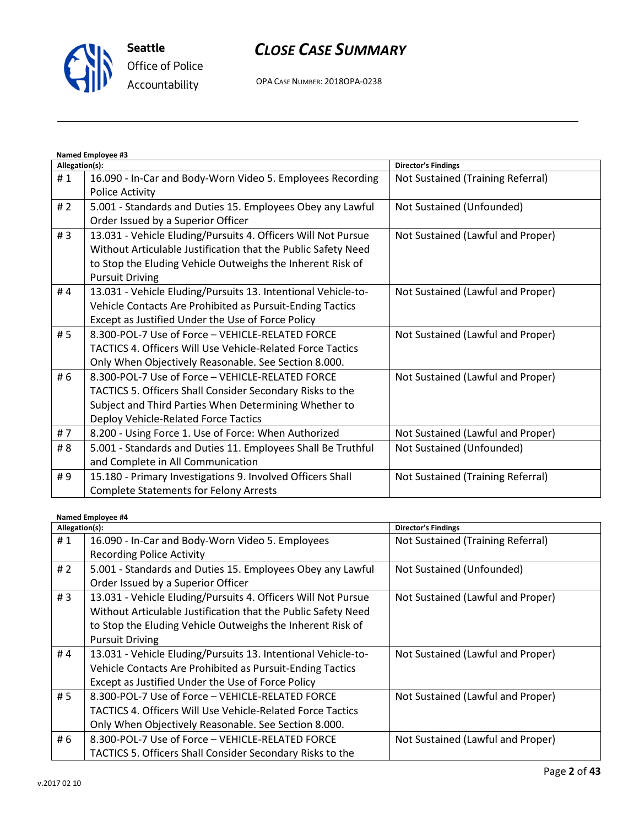

# CLOSE CASE SUMMARY

OPA CASE NUMBER: 2018OPA-0238

| Named Employee #3 |                                                               |                                   |
|-------------------|---------------------------------------------------------------|-----------------------------------|
| Allegation(s):    |                                                               | <b>Director's Findings</b>        |
| #1                | 16.090 - In-Car and Body-Worn Video 5. Employees Recording    | Not Sustained (Training Referral) |
|                   | <b>Police Activity</b>                                        |                                   |
| #2                | 5.001 - Standards and Duties 15. Employees Obey any Lawful    | Not Sustained (Unfounded)         |
|                   | Order Issued by a Superior Officer                            |                                   |
| #3                | 13.031 - Vehicle Eluding/Pursuits 4. Officers Will Not Pursue | Not Sustained (Lawful and Proper) |
|                   | Without Articulable Justification that the Public Safety Need |                                   |
|                   | to Stop the Eluding Vehicle Outweighs the Inherent Risk of    |                                   |
|                   | <b>Pursuit Driving</b>                                        |                                   |
| #4                | 13.031 - Vehicle Eluding/Pursuits 13. Intentional Vehicle-to- | Not Sustained (Lawful and Proper) |
|                   | Vehicle Contacts Are Prohibited as Pursuit-Ending Tactics     |                                   |
|                   | Except as Justified Under the Use of Force Policy             |                                   |
| #5                | 8.300-POL-7 Use of Force - VEHICLE-RELATED FORCE              | Not Sustained (Lawful and Proper) |
|                   | TACTICS 4. Officers Will Use Vehicle-Related Force Tactics    |                                   |
|                   | Only When Objectively Reasonable. See Section 8.000.          |                                   |
| #6                | 8.300-POL-7 Use of Force - VEHICLE-RELATED FORCE              | Not Sustained (Lawful and Proper) |
|                   | TACTICS 5. Officers Shall Consider Secondary Risks to the     |                                   |
|                   | Subject and Third Parties When Determining Whether to         |                                   |
|                   | Deploy Vehicle-Related Force Tactics                          |                                   |
| #7                | 8.200 - Using Force 1. Use of Force: When Authorized          | Not Sustained (Lawful and Proper) |
| # 8               | 5.001 - Standards and Duties 11. Employees Shall Be Truthful  | Not Sustained (Unfounded)         |
|                   | and Complete in All Communication                             |                                   |
| #9                | 15.180 - Primary Investigations 9. Involved Officers Shall    | Not Sustained (Training Referral) |
|                   | <b>Complete Statements for Felony Arrests</b>                 |                                   |

| Allegation(s): |                                                                   | <b>Director's Findings</b>        |
|----------------|-------------------------------------------------------------------|-----------------------------------|
| #1             | 16.090 - In-Car and Body-Worn Video 5. Employees                  | Not Sustained (Training Referral) |
|                | <b>Recording Police Activity</b>                                  |                                   |
| #2             | 5.001 - Standards and Duties 15. Employees Obey any Lawful        | Not Sustained (Unfounded)         |
|                | Order Issued by a Superior Officer                                |                                   |
| #3             | 13.031 - Vehicle Eluding/Pursuits 4. Officers Will Not Pursue     | Not Sustained (Lawful and Proper) |
|                | Without Articulable Justification that the Public Safety Need     |                                   |
|                | to Stop the Eluding Vehicle Outweighs the Inherent Risk of        |                                   |
|                | <b>Pursuit Driving</b>                                            |                                   |
| #4             | 13.031 - Vehicle Eluding/Pursuits 13. Intentional Vehicle-to-     | Not Sustained (Lawful and Proper) |
|                | Vehicle Contacts Are Prohibited as Pursuit-Ending Tactics         |                                   |
|                | Except as Justified Under the Use of Force Policy                 |                                   |
| # 5            | 8.300-POL-7 Use of Force - VEHICLE-RELATED FORCE                  | Not Sustained (Lawful and Proper) |
|                | <b>TACTICS 4. Officers Will Use Vehicle-Related Force Tactics</b> |                                   |
|                | Only When Objectively Reasonable. See Section 8.000.              |                                   |
| # 6            | 8.300-POL-7 Use of Force - VEHICLE-RELATED FORCE                  | Not Sustained (Lawful and Proper) |
|                | <b>TACTICS 5. Officers Shall Consider Secondary Risks to the</b>  |                                   |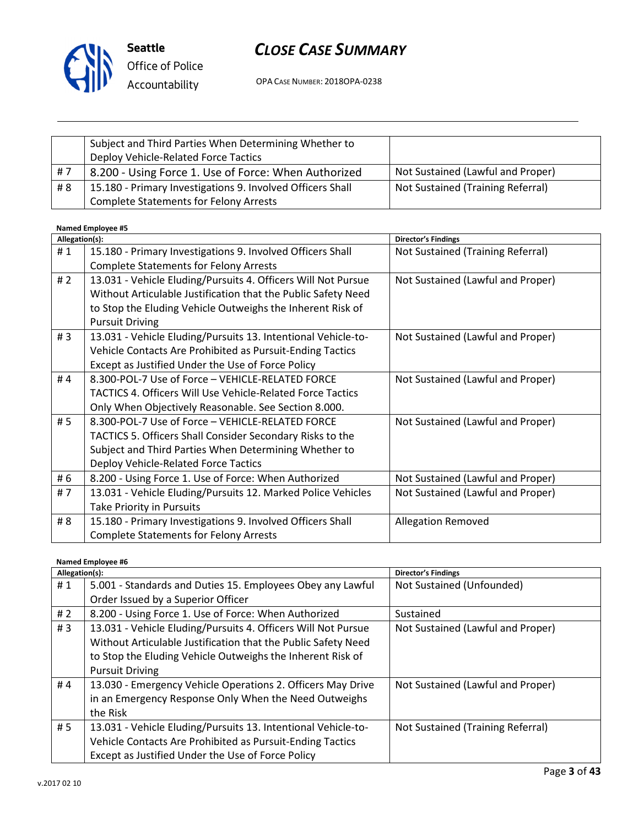

OPA CASE NUMBER: 2018OPA-0238

|      | Subject and Third Parties When Determining Whether to<br>Deploy Vehicle-Related Force Tactics |                                   |
|------|-----------------------------------------------------------------------------------------------|-----------------------------------|
| i #7 | 8.200 - Using Force 1. Use of Force: When Authorized                                          | Not Sustained (Lawful and Proper) |
| # 8  | 15.180 - Primary Investigations 9. Involved Officers Shall                                    | Not Sustained (Training Referral) |
|      | <b>Complete Statements for Felony Arrests</b>                                                 |                                   |

| Allegation(s): |                                                               | <b>Director's Findings</b>        |
|----------------|---------------------------------------------------------------|-----------------------------------|
| #1             | 15.180 - Primary Investigations 9. Involved Officers Shall    | Not Sustained (Training Referral) |
|                | <b>Complete Statements for Felony Arrests</b>                 |                                   |
| # $2$          | 13.031 - Vehicle Eluding/Pursuits 4. Officers Will Not Pursue | Not Sustained (Lawful and Proper) |
|                | Without Articulable Justification that the Public Safety Need |                                   |
|                | to Stop the Eluding Vehicle Outweighs the Inherent Risk of    |                                   |
|                | <b>Pursuit Driving</b>                                        |                                   |
| #3             | 13.031 - Vehicle Eluding/Pursuits 13. Intentional Vehicle-to- | Not Sustained (Lawful and Proper) |
|                | Vehicle Contacts Are Prohibited as Pursuit-Ending Tactics     |                                   |
|                | Except as Justified Under the Use of Force Policy             |                                   |
| #4             | 8.300-POL-7 Use of Force - VEHICLE-RELATED FORCE              | Not Sustained (Lawful and Proper) |
|                | TACTICS 4. Officers Will Use Vehicle-Related Force Tactics    |                                   |
|                | Only When Objectively Reasonable. See Section 8.000.          |                                   |
| #5             | 8.300-POL-7 Use of Force - VEHICLE-RELATED FORCE              | Not Sustained (Lawful and Proper) |
|                | TACTICS 5. Officers Shall Consider Secondary Risks to the     |                                   |
|                | Subject and Third Parties When Determining Whether to         |                                   |
|                | Deploy Vehicle-Related Force Tactics                          |                                   |
| # 6            | 8.200 - Using Force 1. Use of Force: When Authorized          | Not Sustained (Lawful and Proper) |
| #7             | 13.031 - Vehicle Eluding/Pursuits 12. Marked Police Vehicles  | Not Sustained (Lawful and Proper) |
|                | Take Priority in Pursuits                                     |                                   |
| # 8            | 15.180 - Primary Investigations 9. Involved Officers Shall    | <b>Allegation Removed</b>         |
|                | <b>Complete Statements for Felony Arrests</b>                 |                                   |

|                | <b>Named Employee #6</b>                                      |                                   |  |
|----------------|---------------------------------------------------------------|-----------------------------------|--|
| Allegation(s): |                                                               | <b>Director's Findings</b>        |  |
| #1             | 5.001 - Standards and Duties 15. Employees Obey any Lawful    | Not Sustained (Unfounded)         |  |
|                | Order Issued by a Superior Officer                            |                                   |  |
| #2             | 8.200 - Using Force 1. Use of Force: When Authorized          | Sustained                         |  |
| #3             | 13.031 - Vehicle Eluding/Pursuits 4. Officers Will Not Pursue | Not Sustained (Lawful and Proper) |  |
|                | Without Articulable Justification that the Public Safety Need |                                   |  |
|                | to Stop the Eluding Vehicle Outweighs the Inherent Risk of    |                                   |  |
|                | <b>Pursuit Driving</b>                                        |                                   |  |
| #4             | 13.030 - Emergency Vehicle Operations 2. Officers May Drive   | Not Sustained (Lawful and Proper) |  |
|                | in an Emergency Response Only When the Need Outweighs         |                                   |  |
|                | the Risk                                                      |                                   |  |
| # 5            | 13.031 - Vehicle Eluding/Pursuits 13. Intentional Vehicle-to- | Not Sustained (Training Referral) |  |
|                | Vehicle Contacts Are Prohibited as Pursuit-Ending Tactics     |                                   |  |
|                | Except as Justified Under the Use of Force Policy             |                                   |  |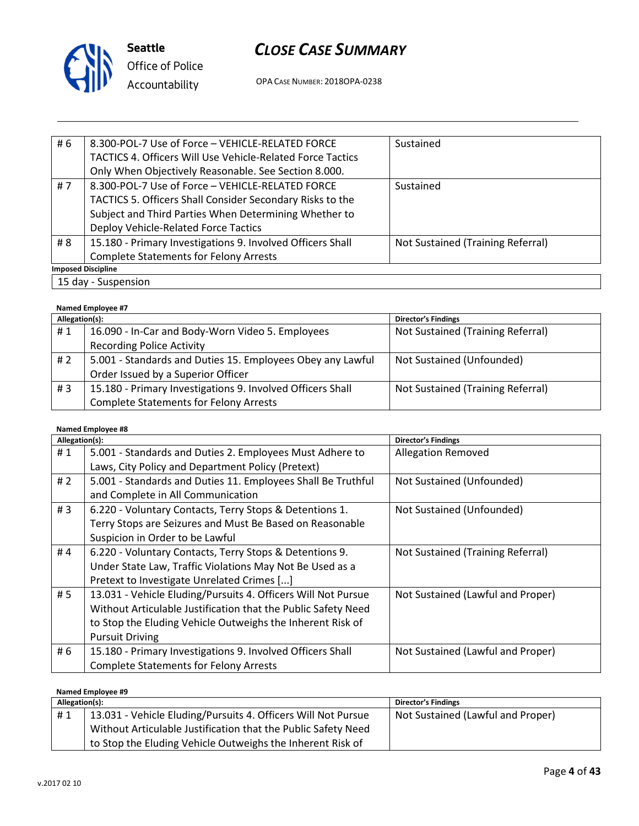

OPA CASE NUMBER: 2018OPA-0238

| # 6 | 8.300-POL-7 Use of Force - VEHICLE-RELATED FORCE                  | Sustained                         |
|-----|-------------------------------------------------------------------|-----------------------------------|
|     | <b>TACTICS 4. Officers Will Use Vehicle-Related Force Tactics</b> |                                   |
|     | Only When Objectively Reasonable. See Section 8.000.              |                                   |
| #7  | 8.300-POL-7 Use of Force - VEHICLE-RELATED FORCE                  | Sustained                         |
|     | TACTICS 5. Officers Shall Consider Secondary Risks to the         |                                   |
|     | Subject and Third Parties When Determining Whether to             |                                   |
|     | Deploy Vehicle-Related Force Tactics                              |                                   |
| # 8 | 15.180 - Primary Investigations 9. Involved Officers Shall        | Not Sustained (Training Referral) |
|     | <b>Complete Statements for Felony Arrests</b>                     |                                   |
|     | <b>Imposed Discipline</b>                                         |                                   |
|     | 15 day - Suspension                                               |                                   |

#### Named Employee #7

| Allegation(s): |                                                            | <b>Director's Findings</b>        |
|----------------|------------------------------------------------------------|-----------------------------------|
| #1             | 16.090 - In-Car and Body-Worn Video 5. Employees           | Not Sustained (Training Referral) |
|                | <b>Recording Police Activity</b>                           |                                   |
| # 2            | 5.001 - Standards and Duties 15. Employees Obey any Lawful | Not Sustained (Unfounded)         |
|                | Order Issued by a Superior Officer                         |                                   |
| #3             | 15.180 - Primary Investigations 9. Involved Officers Shall | Not Sustained (Training Referral) |
|                | <b>Complete Statements for Felony Arrests</b>              |                                   |

#### Named Employee #8

| Allegation(s): |                                                               | <b>Director's Findings</b>        |
|----------------|---------------------------------------------------------------|-----------------------------------|
| #1             | 5.001 - Standards and Duties 2. Employees Must Adhere to      | <b>Allegation Removed</b>         |
|                | Laws, City Policy and Department Policy (Pretext)             |                                   |
| #2             | 5.001 - Standards and Duties 11. Employees Shall Be Truthful  | Not Sustained (Unfounded)         |
|                | and Complete in All Communication                             |                                   |
| #3             | 6.220 - Voluntary Contacts, Terry Stops & Detentions 1.       | Not Sustained (Unfounded)         |
|                | Terry Stops are Seizures and Must Be Based on Reasonable      |                                   |
|                | Suspicion in Order to be Lawful                               |                                   |
| #4             | 6.220 - Voluntary Contacts, Terry Stops & Detentions 9.       | Not Sustained (Training Referral) |
|                | Under State Law, Traffic Violations May Not Be Used as a      |                                   |
|                | Pretext to Investigate Unrelated Crimes []                    |                                   |
| # 5            | 13.031 - Vehicle Eluding/Pursuits 4. Officers Will Not Pursue | Not Sustained (Lawful and Proper) |
|                | Without Articulable Justification that the Public Safety Need |                                   |
|                | to Stop the Eluding Vehicle Outweighs the Inherent Risk of    |                                   |
|                | <b>Pursuit Driving</b>                                        |                                   |
| # 6            | 15.180 - Primary Investigations 9. Involved Officers Shall    | Not Sustained (Lawful and Proper) |
|                | <b>Complete Statements for Felony Arrests</b>                 |                                   |

| Allegation(s): |                                                               | <b>Director's Findings</b>        |
|----------------|---------------------------------------------------------------|-----------------------------------|
| #1             | 13.031 - Vehicle Eluding/Pursuits 4. Officers Will Not Pursue | Not Sustained (Lawful and Proper) |
|                | Without Articulable Justification that the Public Safety Need |                                   |
|                | to Stop the Eluding Vehicle Outweighs the Inherent Risk of    |                                   |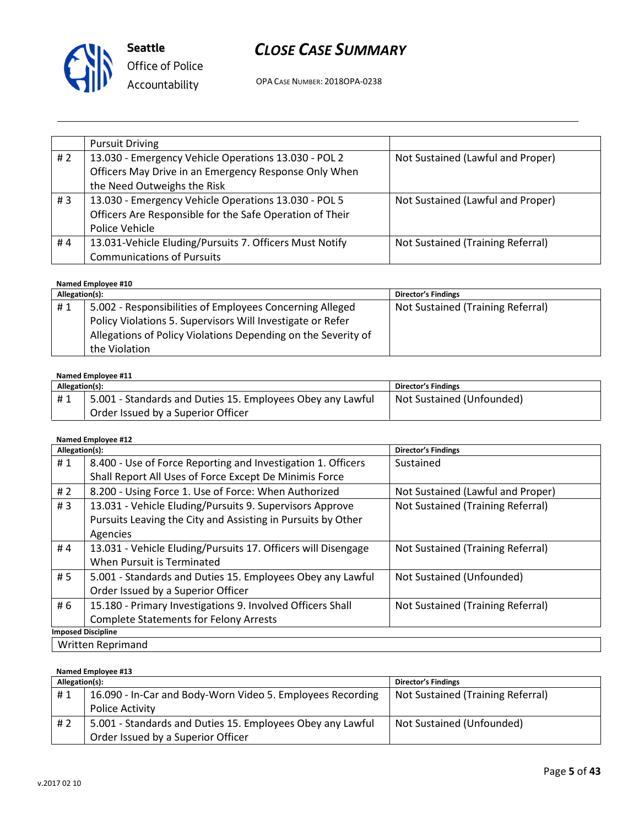

OPA CASE NUMBER: 2018OPA-0238

|       | <b>Pursuit Driving</b>                                   |                                   |
|-------|----------------------------------------------------------|-----------------------------------|
| # $2$ | 13.030 - Emergency Vehicle Operations 13.030 - POL 2     | Not Sustained (Lawful and Proper) |
|       | Officers May Drive in an Emergency Response Only When    |                                   |
|       | the Need Outweighs the Risk                              |                                   |
| #3    | 13.030 - Emergency Vehicle Operations 13.030 - POL 5     | Not Sustained (Lawful and Proper) |
|       | Officers Are Responsible for the Safe Operation of Their |                                   |
|       | Police Vehicle                                           |                                   |
| #4    | 13.031-Vehicle Eluding/Pursuits 7. Officers Must Notify  | Not Sustained (Training Referral) |
|       | <b>Communications of Pursuits</b>                        |                                   |

#### Named Employee #10

| Allegation(s): |                                                               | <b>Director's Findings</b>        |
|----------------|---------------------------------------------------------------|-----------------------------------|
| #1             | 5.002 - Responsibilities of Employees Concerning Alleged      | Not Sustained (Training Referral) |
|                | Policy Violations 5. Supervisors Will Investigate or Refer    |                                   |
|                | Allegations of Policy Violations Depending on the Severity of |                                   |
|                | the Violation                                                 |                                   |

#### Named Employee #11

| Allegation(s): |                                                            | <b>Director's Findings</b> |
|----------------|------------------------------------------------------------|----------------------------|
| #1             | 5.001 - Standards and Duties 15. Employees Obey any Lawful | Not Sustained (Unfounded)  |
|                | Order Issued by a Superior Officer                         |                            |

| Allegation(s): |                                                               | <b>Director's Findings</b>        |
|----------------|---------------------------------------------------------------|-----------------------------------|
| #1             | 8.400 - Use of Force Reporting and Investigation 1. Officers  | Sustained                         |
|                | Shall Report All Uses of Force Except De Minimis Force        |                                   |
| #2             | 8.200 - Using Force 1. Use of Force: When Authorized          | Not Sustained (Lawful and Proper) |
| #3             | 13.031 - Vehicle Eluding/Pursuits 9. Supervisors Approve      | Not Sustained (Training Referral) |
|                | Pursuits Leaving the City and Assisting in Pursuits by Other  |                                   |
|                | Agencies                                                      |                                   |
| #4             | 13.031 - Vehicle Eluding/Pursuits 17. Officers will Disengage | Not Sustained (Training Referral) |
|                | When Pursuit is Terminated                                    |                                   |
| # 5            | 5.001 - Standards and Duties 15. Employees Obey any Lawful    | Not Sustained (Unfounded)         |
|                | Order Issued by a Superior Officer                            |                                   |
| # 6            | 15.180 - Primary Investigations 9. Involved Officers Shall    | Not Sustained (Training Referral) |
|                | <b>Complete Statements for Felony Arrests</b>                 |                                   |
|                | <b>Imposed Discipline</b>                                     |                                   |
|                | <b>Written Reprimand</b>                                      |                                   |

| Named Employee #13 |                                                            |                                   |  |
|--------------------|------------------------------------------------------------|-----------------------------------|--|
| Allegation(s):     |                                                            | <b>Director's Findings</b>        |  |
| #1                 | 16.090 - In-Car and Body-Worn Video 5. Employees Recording | Not Sustained (Training Referral) |  |
|                    | Police Activity                                            |                                   |  |
| # 2                | 5.001 - Standards and Duties 15. Employees Obey any Lawful | Not Sustained (Unfounded)         |  |
|                    | Order Issued by a Superior Officer                         |                                   |  |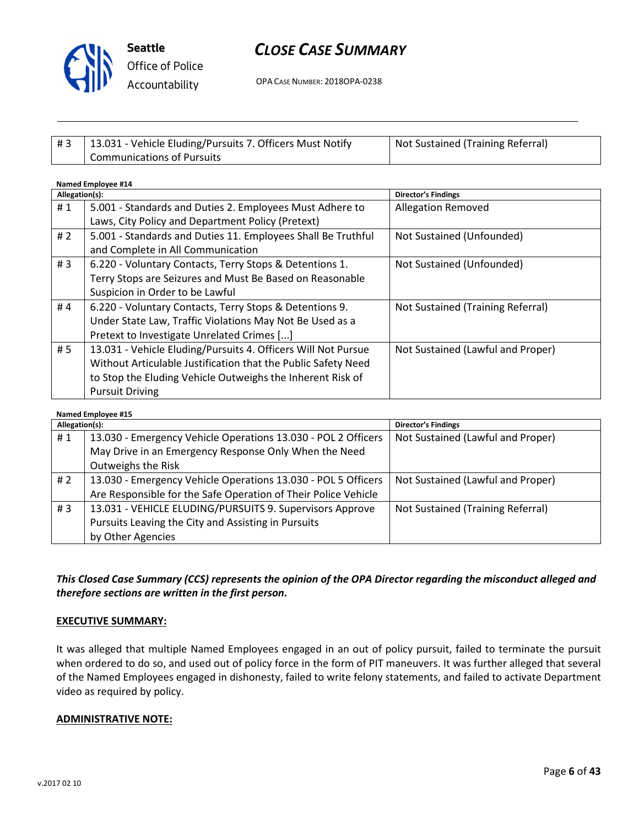

# CLOSE CASE SUMMARY

OPA CASE NUMBER: 2018OPA-0238

| #3 | 13.031 - Vehicle Eluding/Pursuits 7. Officers Must Notify | Not Sustained (Training Referral) |
|----|-----------------------------------------------------------|-----------------------------------|
|    | Communications of Pursuits                                |                                   |

#### Named Employee #14 Allegation(s): Director's Findings #1 | 5.001 - Standards and Duties 2. Employees Must Adhere to Laws, City Policy and Department Policy (Pretext) Allegation Removed # 2 | 5.001 - Standards and Duties 11. Employees Shall Be Truthful and Complete in All Communication Not Sustained (Unfounded) # 3 | 6.220 - Voluntary Contacts, Terry Stops & Detentions 1. Terry Stops are Seizures and Must Be Based on Reasonable Suspicion in Order to be Lawful Not Sustained (Unfounded) #4 | 6.220 - Voluntary Contacts, Terry Stops & Detentions 9. Under State Law, Traffic Violations May Not Be Used as a Pretext to Investigate Unrelated Crimes [...] Not Sustained (Training Referral) # 5 | 13.031 - Vehicle Eluding/Pursuits 4. Officers Will Not Pursue Without Articulable Justification that the Public Safety Need to Stop the Eluding Vehicle Outweighs the Inherent Risk of Pursuit Driving Not Sustained (Lawful and Proper)

#### Named Employee #15

| <b>Named Employee #15</b> |                                                                |                                   |
|---------------------------|----------------------------------------------------------------|-----------------------------------|
| Allegation(s):            |                                                                | <b>Director's Findings</b>        |
| #1                        | 13.030 - Emergency Vehicle Operations 13.030 - POL 2 Officers  | Not Sustained (Lawful and Proper) |
|                           | May Drive in an Emergency Response Only When the Need          |                                   |
|                           | Outweighs the Risk                                             |                                   |
| # 2                       | 13.030 - Emergency Vehicle Operations 13.030 - POL 5 Officers  | Not Sustained (Lawful and Proper) |
|                           | Are Responsible for the Safe Operation of Their Police Vehicle |                                   |
| #3                        | 13.031 - VEHICLE ELUDING/PURSUITS 9. Supervisors Approve       | Not Sustained (Training Referral) |
|                           | Pursuits Leaving the City and Assisting in Pursuits            |                                   |
|                           | by Other Agencies                                              |                                   |

# This Closed Case Summary (CCS) represents the opinion of the OPA Director regarding the misconduct alleged and therefore sections are written in the first person.

#### EXECUTIVE SUMMARY:

It was alleged that multiple Named Employees engaged in an out of policy pursuit, failed to terminate the pursuit when ordered to do so, and used out of policy force in the form of PIT maneuvers. It was further alleged that several of the Named Employees engaged in dishonesty, failed to write felony statements, and failed to activate Department video as required by policy.

#### ADMINISTRATIVE NOTE: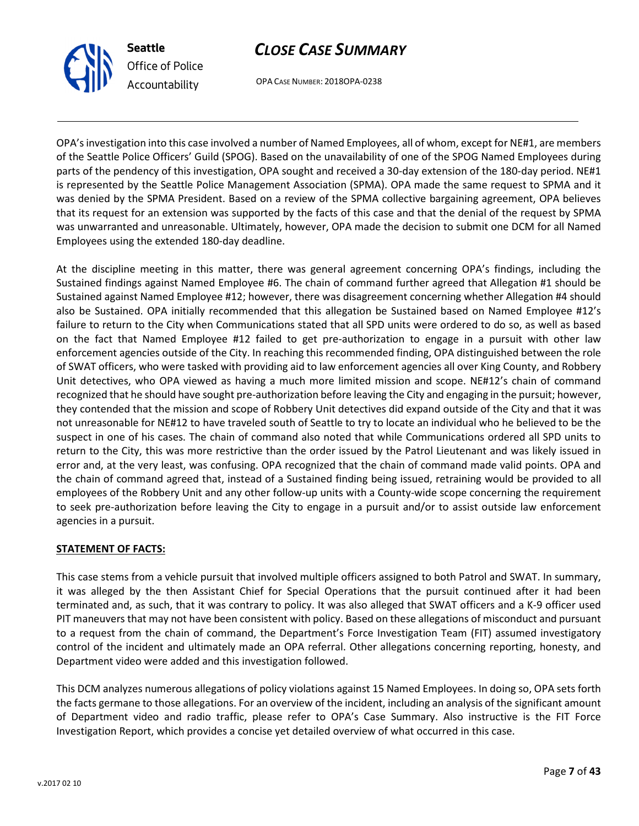

OPA CASE NUMBER: 2018OPA-0238

CLOSE CASE SUMMARY

OPA's investigation into this case involved a number of Named Employees, all of whom, except for NE#1, are members of the Seattle Police Officers' Guild (SPOG). Based on the unavailability of one of the SPOG Named Employees during parts of the pendency of this investigation, OPA sought and received a 30-day extension of the 180-day period. NE#1 is represented by the Seattle Police Management Association (SPMA). OPA made the same request to SPMA and it was denied by the SPMA President. Based on a review of the SPMA collective bargaining agreement, OPA believes that its request for an extension was supported by the facts of this case and that the denial of the request by SPMA was unwarranted and unreasonable. Ultimately, however, OPA made the decision to submit one DCM for all Named Employees using the extended 180-day deadline.

At the discipline meeting in this matter, there was general agreement concerning OPA's findings, including the Sustained findings against Named Employee #6. The chain of command further agreed that Allegation #1 should be Sustained against Named Employee #12; however, there was disagreement concerning whether Allegation #4 should also be Sustained. OPA initially recommended that this allegation be Sustained based on Named Employee #12's failure to return to the City when Communications stated that all SPD units were ordered to do so, as well as based on the fact that Named Employee #12 failed to get pre-authorization to engage in a pursuit with other law enforcement agencies outside of the City. In reaching this recommended finding, OPA distinguished between the role of SWAT officers, who were tasked with providing aid to law enforcement agencies all over King County, and Robbery Unit detectives, who OPA viewed as having a much more limited mission and scope. NE#12's chain of command recognized that he should have sought pre-authorization before leaving the City and engaging in the pursuit; however, they contended that the mission and scope of Robbery Unit detectives did expand outside of the City and that it was not unreasonable for NE#12 to have traveled south of Seattle to try to locate an individual who he believed to be the suspect in one of his cases. The chain of command also noted that while Communications ordered all SPD units to return to the City, this was more restrictive than the order issued by the Patrol Lieutenant and was likely issued in error and, at the very least, was confusing. OPA recognized that the chain of command made valid points. OPA and the chain of command agreed that, instead of a Sustained finding being issued, retraining would be provided to all employees of the Robbery Unit and any other follow-up units with a County-wide scope concerning the requirement to seek pre-authorization before leaving the City to engage in a pursuit and/or to assist outside law enforcement agencies in a pursuit.

# STATEMENT OF FACTS:

This case stems from a vehicle pursuit that involved multiple officers assigned to both Patrol and SWAT. In summary, it was alleged by the then Assistant Chief for Special Operations that the pursuit continued after it had been terminated and, as such, that it was contrary to policy. It was also alleged that SWAT officers and a K-9 officer used PIT maneuvers that may not have been consistent with policy. Based on these allegations of misconduct and pursuant to a request from the chain of command, the Department's Force Investigation Team (FIT) assumed investigatory control of the incident and ultimately made an OPA referral. Other allegations concerning reporting, honesty, and Department video were added and this investigation followed.

This DCM analyzes numerous allegations of policy violations against 15 Named Employees. In doing so, OPA sets forth the facts germane to those allegations. For an overview of the incident, including an analysis of the significant amount of Department video and radio traffic, please refer to OPA's Case Summary. Also instructive is the FIT Force Investigation Report, which provides a concise yet detailed overview of what occurred in this case.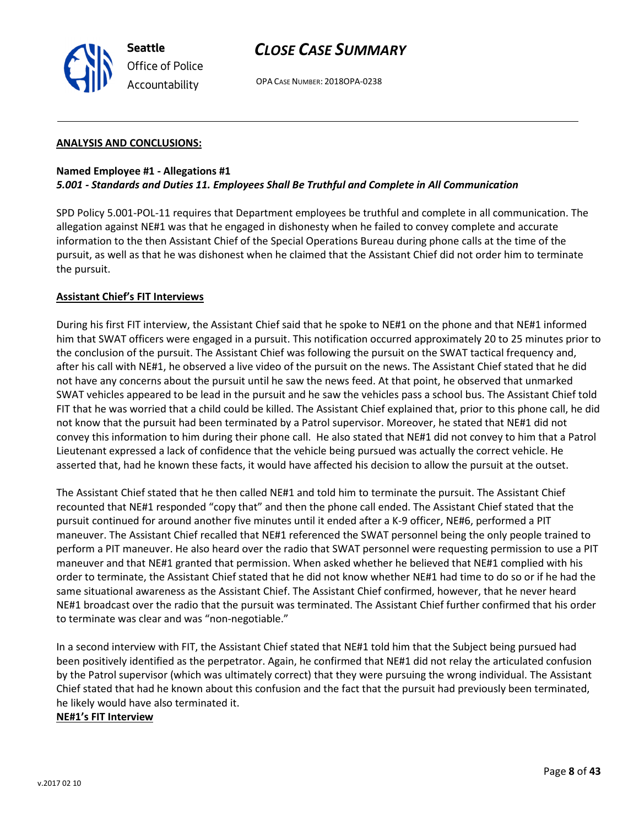OPA CASE NUMBER: 2018OPA-0238

#### ANALYSIS AND CONCLUSIONS:

#### Named Employee #1 - Allegations #1 5.001 - Standards and Duties 11. Employees Shall Be Truthful and Complete in All Communication

SPD Policy 5.001-POL-11 requires that Department employees be truthful and complete in all communication. The allegation against NE#1 was that he engaged in dishonesty when he failed to convey complete and accurate information to the then Assistant Chief of the Special Operations Bureau during phone calls at the time of the pursuit, as well as that he was dishonest when he claimed that the Assistant Chief did not order him to terminate the pursuit.

#### Assistant Chief's FIT Interviews

During his first FIT interview, the Assistant Chief said that he spoke to NE#1 on the phone and that NE#1 informed him that SWAT officers were engaged in a pursuit. This notification occurred approximately 20 to 25 minutes prior to the conclusion of the pursuit. The Assistant Chief was following the pursuit on the SWAT tactical frequency and, after his call with NE#1, he observed a live video of the pursuit on the news. The Assistant Chief stated that he did not have any concerns about the pursuit until he saw the news feed. At that point, he observed that unmarked SWAT vehicles appeared to be lead in the pursuit and he saw the vehicles pass a school bus. The Assistant Chief told FIT that he was worried that a child could be killed. The Assistant Chief explained that, prior to this phone call, he did not know that the pursuit had been terminated by a Patrol supervisor. Moreover, he stated that NE#1 did not convey this information to him during their phone call. He also stated that NE#1 did not convey to him that a Patrol Lieutenant expressed a lack of confidence that the vehicle being pursued was actually the correct vehicle. He asserted that, had he known these facts, it would have affected his decision to allow the pursuit at the outset.

The Assistant Chief stated that he then called NE#1 and told him to terminate the pursuit. The Assistant Chief recounted that NE#1 responded "copy that" and then the phone call ended. The Assistant Chief stated that the pursuit continued for around another five minutes until it ended after a K-9 officer, NE#6, performed a PIT maneuver. The Assistant Chief recalled that NE#1 referenced the SWAT personnel being the only people trained to perform a PIT maneuver. He also heard over the radio that SWAT personnel were requesting permission to use a PIT maneuver and that NE#1 granted that permission. When asked whether he believed that NE#1 complied with his order to terminate, the Assistant Chief stated that he did not know whether NE#1 had time to do so or if he had the same situational awareness as the Assistant Chief. The Assistant Chief confirmed, however, that he never heard NE#1 broadcast over the radio that the pursuit was terminated. The Assistant Chief further confirmed that his order to terminate was clear and was "non-negotiable."

In a second interview with FIT, the Assistant Chief stated that NE#1 told him that the Subject being pursued had been positively identified as the perpetrator. Again, he confirmed that NE#1 did not relay the articulated confusion by the Patrol supervisor (which was ultimately correct) that they were pursuing the wrong individual. The Assistant Chief stated that had he known about this confusion and the fact that the pursuit had previously been terminated, he likely would have also terminated it.

#### NE#1's FIT Interview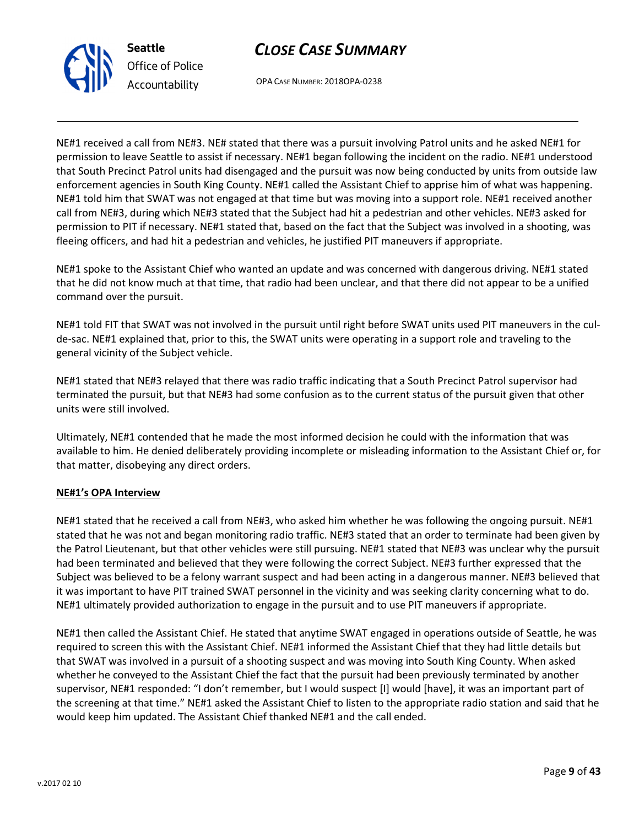



OPA CASE NUMBER: 2018OPA-0238

NE#1 received a call from NE#3. NE# stated that there was a pursuit involving Patrol units and he asked NE#1 for permission to leave Seattle to assist if necessary. NE#1 began following the incident on the radio. NE#1 understood that South Precinct Patrol units had disengaged and the pursuit was now being conducted by units from outside law enforcement agencies in South King County. NE#1 called the Assistant Chief to apprise him of what was happening. NE#1 told him that SWAT was not engaged at that time but was moving into a support role. NE#1 received another call from NE#3, during which NE#3 stated that the Subject had hit a pedestrian and other vehicles. NE#3 asked for permission to PIT if necessary. NE#1 stated that, based on the fact that the Subject was involved in a shooting, was fleeing officers, and had hit a pedestrian and vehicles, he justified PIT maneuvers if appropriate.

NE#1 spoke to the Assistant Chief who wanted an update and was concerned with dangerous driving. NE#1 stated that he did not know much at that time, that radio had been unclear, and that there did not appear to be a unified command over the pursuit.

NE#1 told FIT that SWAT was not involved in the pursuit until right before SWAT units used PIT maneuvers in the culde-sac. NE#1 explained that, prior to this, the SWAT units were operating in a support role and traveling to the general vicinity of the Subject vehicle.

NE#1 stated that NE#3 relayed that there was radio traffic indicating that a South Precinct Patrol supervisor had terminated the pursuit, but that NE#3 had some confusion as to the current status of the pursuit given that other units were still involved.

Ultimately, NE#1 contended that he made the most informed decision he could with the information that was available to him. He denied deliberately providing incomplete or misleading information to the Assistant Chief or, for that matter, disobeying any direct orders.

# NE#1's OPA Interview

NE#1 stated that he received a call from NE#3, who asked him whether he was following the ongoing pursuit. NE#1 stated that he was not and began monitoring radio traffic. NE#3 stated that an order to terminate had been given by the Patrol Lieutenant, but that other vehicles were still pursuing. NE#1 stated that NE#3 was unclear why the pursuit had been terminated and believed that they were following the correct Subject. NE#3 further expressed that the Subject was believed to be a felony warrant suspect and had been acting in a dangerous manner. NE#3 believed that it was important to have PIT trained SWAT personnel in the vicinity and was seeking clarity concerning what to do. NE#1 ultimately provided authorization to engage in the pursuit and to use PIT maneuvers if appropriate.

NE#1 then called the Assistant Chief. He stated that anytime SWAT engaged in operations outside of Seattle, he was required to screen this with the Assistant Chief. NE#1 informed the Assistant Chief that they had little details but that SWAT was involved in a pursuit of a shooting suspect and was moving into South King County. When asked whether he conveyed to the Assistant Chief the fact that the pursuit had been previously terminated by another supervisor, NE#1 responded: "I don't remember, but I would suspect [I] would [have], it was an important part of the screening at that time." NE#1 asked the Assistant Chief to listen to the appropriate radio station and said that he would keep him updated. The Assistant Chief thanked NE#1 and the call ended.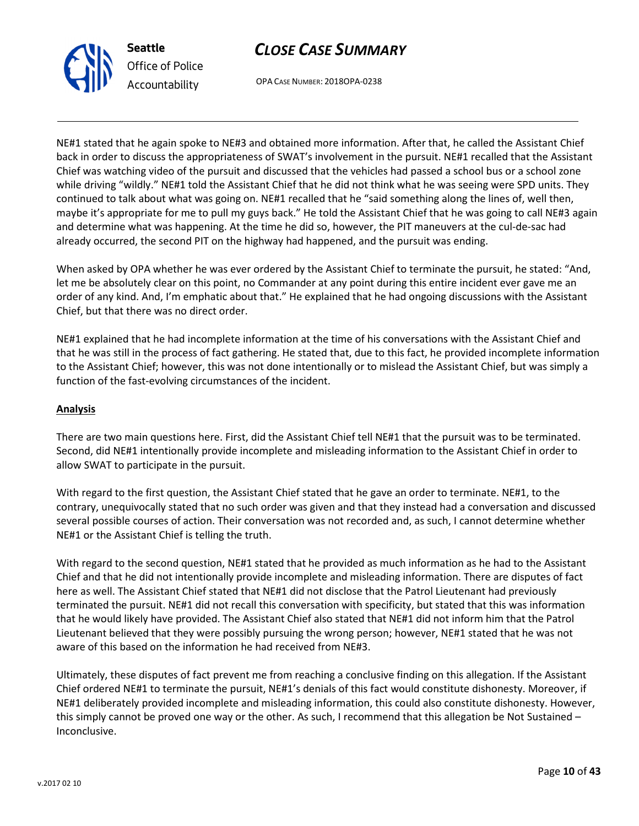

OPA CASE NUMBER: 2018OPA-0238

NE#1 stated that he again spoke to NE#3 and obtained more information. After that, he called the Assistant Chief back in order to discuss the appropriateness of SWAT's involvement in the pursuit. NE#1 recalled that the Assistant Chief was watching video of the pursuit and discussed that the vehicles had passed a school bus or a school zone while driving "wildly." NE#1 told the Assistant Chief that he did not think what he was seeing were SPD units. They continued to talk about what was going on. NE#1 recalled that he "said something along the lines of, well then, maybe it's appropriate for me to pull my guys back." He told the Assistant Chief that he was going to call NE#3 again and determine what was happening. At the time he did so, however, the PIT maneuvers at the cul-de-sac had already occurred, the second PIT on the highway had happened, and the pursuit was ending.

When asked by OPA whether he was ever ordered by the Assistant Chief to terminate the pursuit, he stated: "And, let me be absolutely clear on this point, no Commander at any point during this entire incident ever gave me an order of any kind. And, I'm emphatic about that." He explained that he had ongoing discussions with the Assistant Chief, but that there was no direct order.

NE#1 explained that he had incomplete information at the time of his conversations with the Assistant Chief and that he was still in the process of fact gathering. He stated that, due to this fact, he provided incomplete information to the Assistant Chief; however, this was not done intentionally or to mislead the Assistant Chief, but was simply a function of the fast-evolving circumstances of the incident.

### Analysis

There are two main questions here. First, did the Assistant Chief tell NE#1 that the pursuit was to be terminated. Second, did NE#1 intentionally provide incomplete and misleading information to the Assistant Chief in order to allow SWAT to participate in the pursuit.

With regard to the first question, the Assistant Chief stated that he gave an order to terminate. NE#1, to the contrary, unequivocally stated that no such order was given and that they instead had a conversation and discussed several possible courses of action. Their conversation was not recorded and, as such, I cannot determine whether NE#1 or the Assistant Chief is telling the truth.

With regard to the second question, NE#1 stated that he provided as much information as he had to the Assistant Chief and that he did not intentionally provide incomplete and misleading information. There are disputes of fact here as well. The Assistant Chief stated that NE#1 did not disclose that the Patrol Lieutenant had previously terminated the pursuit. NE#1 did not recall this conversation with specificity, but stated that this was information that he would likely have provided. The Assistant Chief also stated that NE#1 did not inform him that the Patrol Lieutenant believed that they were possibly pursuing the wrong person; however, NE#1 stated that he was not aware of this based on the information he had received from NE#3.

Ultimately, these disputes of fact prevent me from reaching a conclusive finding on this allegation. If the Assistant Chief ordered NE#1 to terminate the pursuit, NE#1's denials of this fact would constitute dishonesty. Moreover, if NE#1 deliberately provided incomplete and misleading information, this could also constitute dishonesty. However, this simply cannot be proved one way or the other. As such, I recommend that this allegation be Not Sustained – Inconclusive.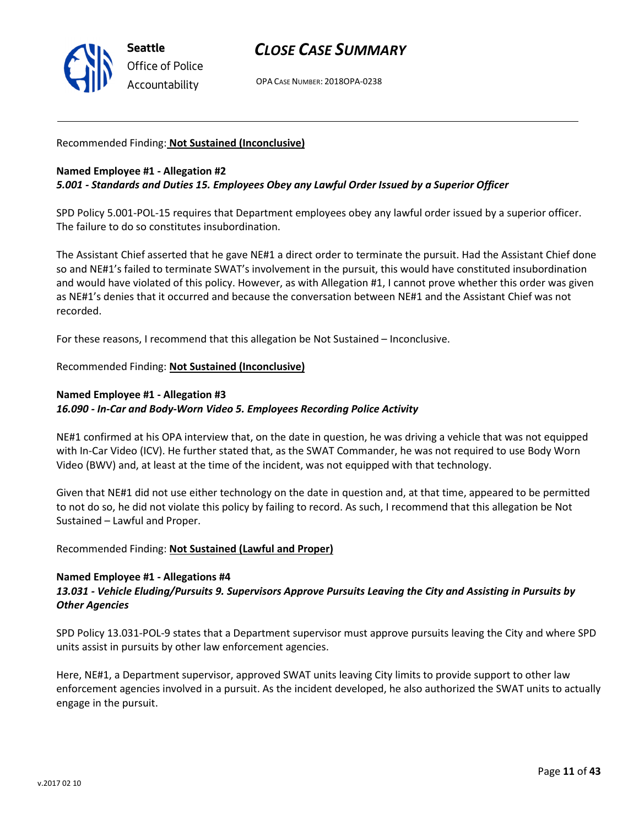

OPA CASE NUMBER: 2018OPA-0238

#### Recommended Finding: Not Sustained (Inconclusive)

#### Named Employee #1 - Allegation #2 5.001 - Standards and Duties 15. Employees Obey any Lawful Order Issued by a Superior Officer

SPD Policy 5.001-POL-15 requires that Department employees obey any lawful order issued by a superior officer. The failure to do so constitutes insubordination.

The Assistant Chief asserted that he gave NE#1 a direct order to terminate the pursuit. Had the Assistant Chief done so and NE#1's failed to terminate SWAT's involvement in the pursuit, this would have constituted insubordination and would have violated of this policy. However, as with Allegation #1, I cannot prove whether this order was given as NE#1's denies that it occurred and because the conversation between NE#1 and the Assistant Chief was not recorded.

For these reasons, I recommend that this allegation be Not Sustained – Inconclusive.

### Recommended Finding: Not Sustained (Inconclusive)

# Named Employee #1 - Allegation #3 16.090 - In-Car and Body-Worn Video 5. Employees Recording Police Activity

NE#1 confirmed at his OPA interview that, on the date in question, he was driving a vehicle that was not equipped with In-Car Video (ICV). He further stated that, as the SWAT Commander, he was not required to use Body Worn Video (BWV) and, at least at the time of the incident, was not equipped with that technology.

Given that NE#1 did not use either technology on the date in question and, at that time, appeared to be permitted to not do so, he did not violate this policy by failing to record. As such, I recommend that this allegation be Not Sustained – Lawful and Proper.

#### Recommended Finding: Not Sustained (Lawful and Proper)

#### Named Employee #1 - Allegations #4

### 13.031 - Vehicle Eluding/Pursuits 9. Supervisors Approve Pursuits Leaving the City and Assisting in Pursuits by Other Agencies

SPD Policy 13.031-POL-9 states that a Department supervisor must approve pursuits leaving the City and where SPD units assist in pursuits by other law enforcement agencies.

Here, NE#1, a Department supervisor, approved SWAT units leaving City limits to provide support to other law enforcement agencies involved in a pursuit. As the incident developed, he also authorized the SWAT units to actually engage in the pursuit.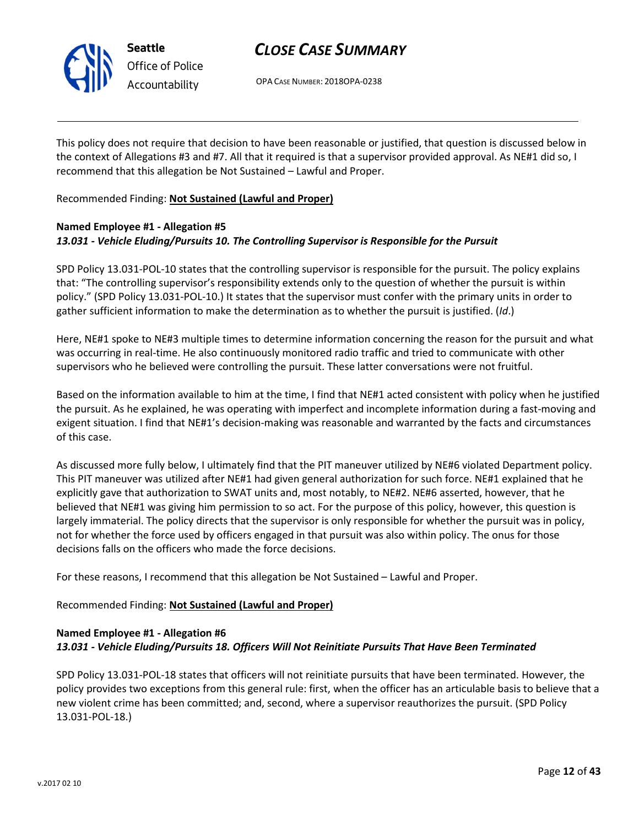

# CLOSE CASE SUMMARY

OPA CASE NUMBER: 2018OPA-0238

This policy does not require that decision to have been reasonable or justified, that question is discussed below in the context of Allegations #3 and #7. All that it required is that a supervisor provided approval. As NE#1 did so, I recommend that this allegation be Not Sustained – Lawful and Proper.

Recommended Finding: Not Sustained (Lawful and Proper)

# Named Employee #1 - Allegation #5 13.031 - Vehicle Eluding/Pursuits 10. The Controlling Supervisor is Responsible for the Pursuit

SPD Policy 13.031-POL-10 states that the controlling supervisor is responsible for the pursuit. The policy explains that: "The controlling supervisor's responsibility extends only to the question of whether the pursuit is within policy." (SPD Policy 13.031-POL-10.) It states that the supervisor must confer with the primary units in order to gather sufficient information to make the determination as to whether the pursuit is justified. (Id.)

Here, NE#1 spoke to NE#3 multiple times to determine information concerning the reason for the pursuit and what was occurring in real-time. He also continuously monitored radio traffic and tried to communicate with other supervisors who he believed were controlling the pursuit. These latter conversations were not fruitful.

Based on the information available to him at the time, I find that NE#1 acted consistent with policy when he justified the pursuit. As he explained, he was operating with imperfect and incomplete information during a fast-moving and exigent situation. I find that NE#1's decision-making was reasonable and warranted by the facts and circumstances of this case.

As discussed more fully below, I ultimately find that the PIT maneuver utilized by NE#6 violated Department policy. This PIT maneuver was utilized after NE#1 had given general authorization for such force. NE#1 explained that he explicitly gave that authorization to SWAT units and, most notably, to NE#2. NE#6 asserted, however, that he believed that NE#1 was giving him permission to so act. For the purpose of this policy, however, this question is largely immaterial. The policy directs that the supervisor is only responsible for whether the pursuit was in policy, not for whether the force used by officers engaged in that pursuit was also within policy. The onus for those decisions falls on the officers who made the force decisions.

For these reasons, I recommend that this allegation be Not Sustained – Lawful and Proper.

Recommended Finding: Not Sustained (Lawful and Proper)

# Named Employee #1 - Allegation #6 13.031 - Vehicle Eluding/Pursuits 18. Officers Will Not Reinitiate Pursuits That Have Been Terminated

SPD Policy 13.031-POL-18 states that officers will not reinitiate pursuits that have been terminated. However, the policy provides two exceptions from this general rule: first, when the officer has an articulable basis to believe that a new violent crime has been committed; and, second, where a supervisor reauthorizes the pursuit. (SPD Policy 13.031-POL-18.)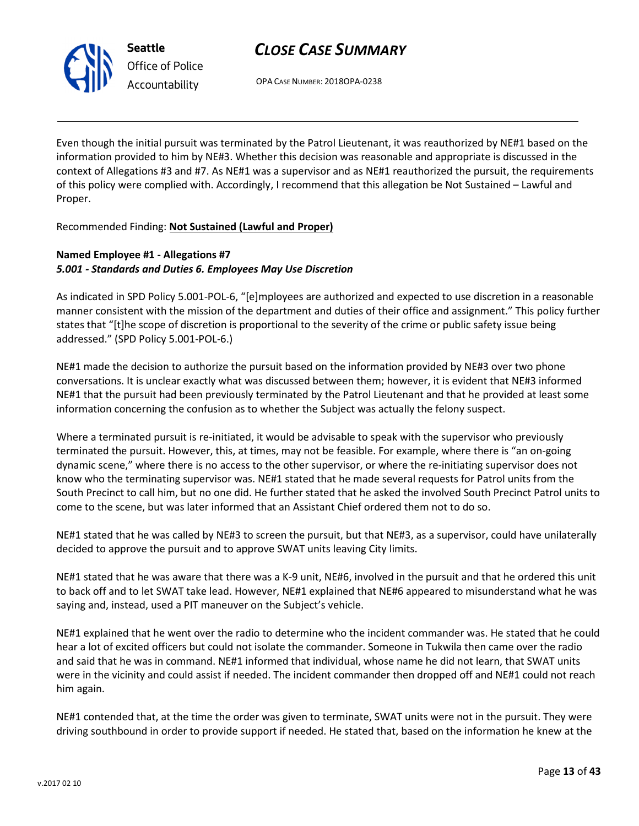

# CLOSE CASE SUMMARY

OPA CASE NUMBER: 2018OPA-0238

Even though the initial pursuit was terminated by the Patrol Lieutenant, it was reauthorized by NE#1 based on the information provided to him by NE#3. Whether this decision was reasonable and appropriate is discussed in the context of Allegations #3 and #7. As NE#1 was a supervisor and as NE#1 reauthorized the pursuit, the requirements of this policy were complied with. Accordingly, I recommend that this allegation be Not Sustained – Lawful and Proper.

Recommended Finding: Not Sustained (Lawful and Proper)

# Named Employee #1 - Allegations #7 5.001 - Standards and Duties 6. Employees May Use Discretion

As indicated in SPD Policy 5.001-POL-6, "[e]mployees are authorized and expected to use discretion in a reasonable manner consistent with the mission of the department and duties of their office and assignment." This policy further states that "[t]he scope of discretion is proportional to the severity of the crime or public safety issue being addressed." (SPD Policy 5.001-POL-6.)

NE#1 made the decision to authorize the pursuit based on the information provided by NE#3 over two phone conversations. It is unclear exactly what was discussed between them; however, it is evident that NE#3 informed NE#1 that the pursuit had been previously terminated by the Patrol Lieutenant and that he provided at least some information concerning the confusion as to whether the Subject was actually the felony suspect.

Where a terminated pursuit is re-initiated, it would be advisable to speak with the supervisor who previously terminated the pursuit. However, this, at times, may not be feasible. For example, where there is "an on-going dynamic scene," where there is no access to the other supervisor, or where the re-initiating supervisor does not know who the terminating supervisor was. NE#1 stated that he made several requests for Patrol units from the South Precinct to call him, but no one did. He further stated that he asked the involved South Precinct Patrol units to come to the scene, but was later informed that an Assistant Chief ordered them not to do so.

NE#1 stated that he was called by NE#3 to screen the pursuit, but that NE#3, as a supervisor, could have unilaterally decided to approve the pursuit and to approve SWAT units leaving City limits.

NE#1 stated that he was aware that there was a K-9 unit, NE#6, involved in the pursuit and that he ordered this unit to back off and to let SWAT take lead. However, NE#1 explained that NE#6 appeared to misunderstand what he was saying and, instead, used a PIT maneuver on the Subject's vehicle.

NE#1 explained that he went over the radio to determine who the incident commander was. He stated that he could hear a lot of excited officers but could not isolate the commander. Someone in Tukwila then came over the radio and said that he was in command. NE#1 informed that individual, whose name he did not learn, that SWAT units were in the vicinity and could assist if needed. The incident commander then dropped off and NE#1 could not reach him again.

NE#1 contended that, at the time the order was given to terminate, SWAT units were not in the pursuit. They were driving southbound in order to provide support if needed. He stated that, based on the information he knew at the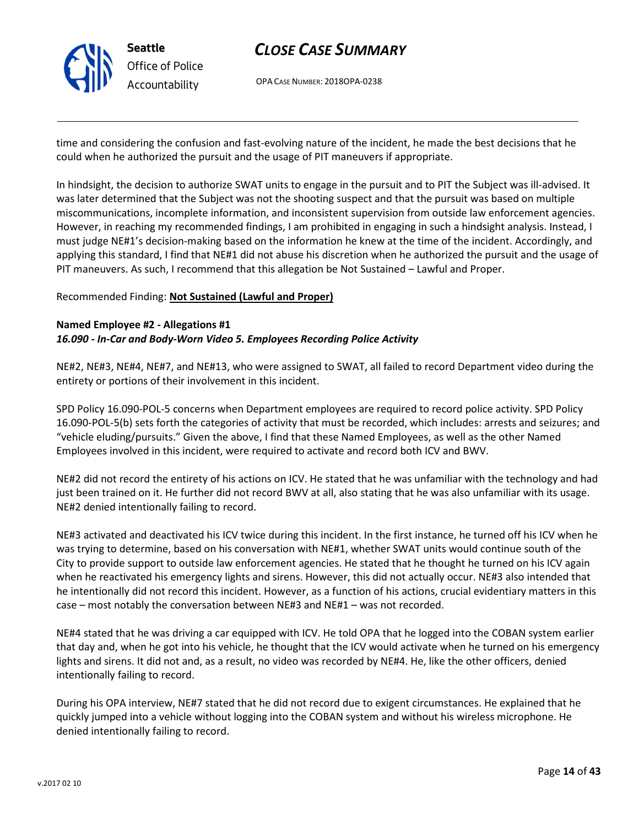

OPA CASE NUMBER: 2018OPA-0238

time and considering the confusion and fast-evolving nature of the incident, he made the best decisions that he could when he authorized the pursuit and the usage of PIT maneuvers if appropriate.

In hindsight, the decision to authorize SWAT units to engage in the pursuit and to PIT the Subject was ill-advised. It was later determined that the Subject was not the shooting suspect and that the pursuit was based on multiple miscommunications, incomplete information, and inconsistent supervision from outside law enforcement agencies. However, in reaching my recommended findings, I am prohibited in engaging in such a hindsight analysis. Instead, I must judge NE#1's decision-making based on the information he knew at the time of the incident. Accordingly, and applying this standard, I find that NE#1 did not abuse his discretion when he authorized the pursuit and the usage of PIT maneuvers. As such, I recommend that this allegation be Not Sustained – Lawful and Proper.

#### Recommended Finding: Not Sustained (Lawful and Proper)

#### Named Employee #2 - Allegations #1 16.090 - In-Car and Body-Worn Video 5. Employees Recording Police Activity

NE#2, NE#3, NE#4, NE#7, and NE#13, who were assigned to SWAT, all failed to record Department video during the entirety or portions of their involvement in this incident.

SPD Policy 16.090-POL-5 concerns when Department employees are required to record police activity. SPD Policy 16.090-POL-5(b) sets forth the categories of activity that must be recorded, which includes: arrests and seizures; and "vehicle eluding/pursuits." Given the above, I find that these Named Employees, as well as the other Named Employees involved in this incident, were required to activate and record both ICV and BWV.

NE#2 did not record the entirety of his actions on ICV. He stated that he was unfamiliar with the technology and had just been trained on it. He further did not record BWV at all, also stating that he was also unfamiliar with its usage. NE#2 denied intentionally failing to record.

NE#3 activated and deactivated his ICV twice during this incident. In the first instance, he turned off his ICV when he was trying to determine, based on his conversation with NE#1, whether SWAT units would continue south of the City to provide support to outside law enforcement agencies. He stated that he thought he turned on his ICV again when he reactivated his emergency lights and sirens. However, this did not actually occur. NE#3 also intended that he intentionally did not record this incident. However, as a function of his actions, crucial evidentiary matters in this case – most notably the conversation between NE#3 and NE#1 – was not recorded.

NE#4 stated that he was driving a car equipped with ICV. He told OPA that he logged into the COBAN system earlier that day and, when he got into his vehicle, he thought that the ICV would activate when he turned on his emergency lights and sirens. It did not and, as a result, no video was recorded by NE#4. He, like the other officers, denied intentionally failing to record.

During his OPA interview, NE#7 stated that he did not record due to exigent circumstances. He explained that he quickly jumped into a vehicle without logging into the COBAN system and without his wireless microphone. He denied intentionally failing to record.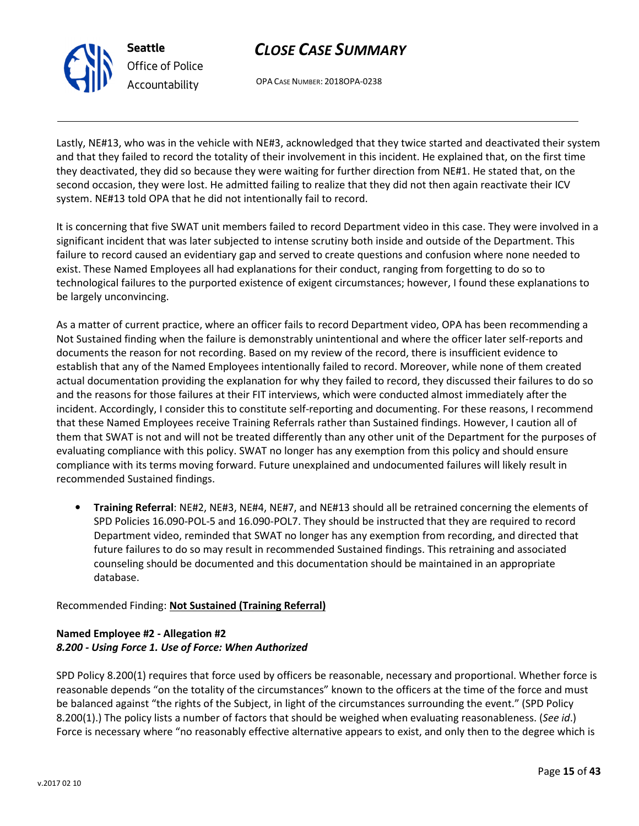OPA CASE NUMBER: 2018OPA-0238

Lastly, NE#13, who was in the vehicle with NE#3, acknowledged that they twice started and deactivated their system and that they failed to record the totality of their involvement in this incident. He explained that, on the first time they deactivated, they did so because they were waiting for further direction from NE#1. He stated that, on the second occasion, they were lost. He admitted failing to realize that they did not then again reactivate their ICV system. NE#13 told OPA that he did not intentionally fail to record.

It is concerning that five SWAT unit members failed to record Department video in this case. They were involved in a significant incident that was later subjected to intense scrutiny both inside and outside of the Department. This failure to record caused an evidentiary gap and served to create questions and confusion where none needed to exist. These Named Employees all had explanations for their conduct, ranging from forgetting to do so to technological failures to the purported existence of exigent circumstances; however, I found these explanations to be largely unconvincing.

As a matter of current practice, where an officer fails to record Department video, OPA has been recommending a Not Sustained finding when the failure is demonstrably unintentional and where the officer later self-reports and documents the reason for not recording. Based on my review of the record, there is insufficient evidence to establish that any of the Named Employees intentionally failed to record. Moreover, while none of them created actual documentation providing the explanation for why they failed to record, they discussed their failures to do so and the reasons for those failures at their FIT interviews, which were conducted almost immediately after the incident. Accordingly, I consider this to constitute self-reporting and documenting. For these reasons, I recommend that these Named Employees receive Training Referrals rather than Sustained findings. However, I caution all of them that SWAT is not and will not be treated differently than any other unit of the Department for the purposes of evaluating compliance with this policy. SWAT no longer has any exemption from this policy and should ensure compliance with its terms moving forward. Future unexplained and undocumented failures will likely result in recommended Sustained findings.

• Training Referral: NE#2, NE#3, NE#4, NE#7, and NE#13 should all be retrained concerning the elements of SPD Policies 16.090-POL-5 and 16.090-POL7. They should be instructed that they are required to record Department video, reminded that SWAT no longer has any exemption from recording, and directed that future failures to do so may result in recommended Sustained findings. This retraining and associated counseling should be documented and this documentation should be maintained in an appropriate database.

# Recommended Finding: Not Sustained (Training Referral)

# Named Employee #2 - Allegation #2 8.200 - Using Force 1. Use of Force: When Authorized

SPD Policy 8.200(1) requires that force used by officers be reasonable, necessary and proportional. Whether force is reasonable depends "on the totality of the circumstances" known to the officers at the time of the force and must be balanced against "the rights of the Subject, in light of the circumstances surrounding the event." (SPD Policy 8.200(1).) The policy lists a number of factors that should be weighed when evaluating reasonableness. (See id.) Force is necessary where "no reasonably effective alternative appears to exist, and only then to the degree which is



Seattle Office of Police Accountability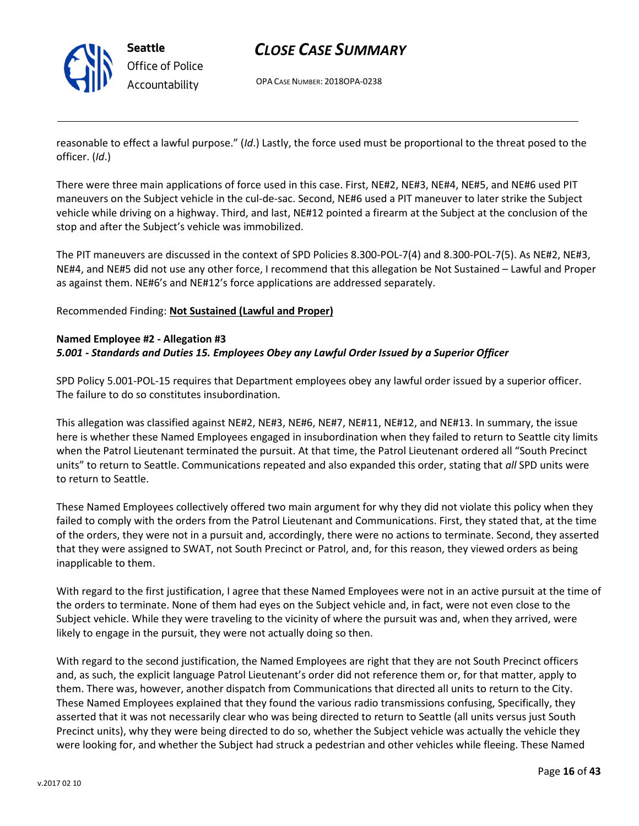

# CLOSE CASE SUMMARY

OPA CASE NUMBER: 2018OPA-0238

reasonable to effect a lawful purpose." (Id.) Lastly, the force used must be proportional to the threat posed to the officer. (Id.)

There were three main applications of force used in this case. First, NE#2, NE#3, NE#4, NE#5, and NE#6 used PIT maneuvers on the Subject vehicle in the cul-de-sac. Second, NE#6 used a PIT maneuver to later strike the Subject vehicle while driving on a highway. Third, and last, NE#12 pointed a firearm at the Subject at the conclusion of the stop and after the Subject's vehicle was immobilized.

The PIT maneuvers are discussed in the context of SPD Policies 8.300-POL-7(4) and 8.300-POL-7(5). As NE#2, NE#3, NE#4, and NE#5 did not use any other force, I recommend that this allegation be Not Sustained – Lawful and Proper as against them. NE#6's and NE#12's force applications are addressed separately.

Recommended Finding: Not Sustained (Lawful and Proper)

### Named Employee #2 - Allegation #3 5.001 - Standards and Duties 15. Employees Obey any Lawful Order Issued by a Superior Officer

SPD Policy 5.001-POL-15 requires that Department employees obey any lawful order issued by a superior officer. The failure to do so constitutes insubordination.

This allegation was classified against NE#2, NE#3, NE#6, NE#7, NE#11, NE#12, and NE#13. In summary, the issue here is whether these Named Employees engaged in insubordination when they failed to return to Seattle city limits when the Patrol Lieutenant terminated the pursuit. At that time, the Patrol Lieutenant ordered all "South Precinct units" to return to Seattle. Communications repeated and also expanded this order, stating that all SPD units were to return to Seattle.

These Named Employees collectively offered two main argument for why they did not violate this policy when they failed to comply with the orders from the Patrol Lieutenant and Communications. First, they stated that, at the time of the orders, they were not in a pursuit and, accordingly, there were no actions to terminate. Second, they asserted that they were assigned to SWAT, not South Precinct or Patrol, and, for this reason, they viewed orders as being inapplicable to them.

With regard to the first justification, I agree that these Named Employees were not in an active pursuit at the time of the orders to terminate. None of them had eyes on the Subject vehicle and, in fact, were not even close to the Subject vehicle. While they were traveling to the vicinity of where the pursuit was and, when they arrived, were likely to engage in the pursuit, they were not actually doing so then.

With regard to the second justification, the Named Employees are right that they are not South Precinct officers and, as such, the explicit language Patrol Lieutenant's order did not reference them or, for that matter, apply to them. There was, however, another dispatch from Communications that directed all units to return to the City. These Named Employees explained that they found the various radio transmissions confusing, Specifically, they asserted that it was not necessarily clear who was being directed to return to Seattle (all units versus just South Precinct units), why they were being directed to do so, whether the Subject vehicle was actually the vehicle they were looking for, and whether the Subject had struck a pedestrian and other vehicles while fleeing. These Named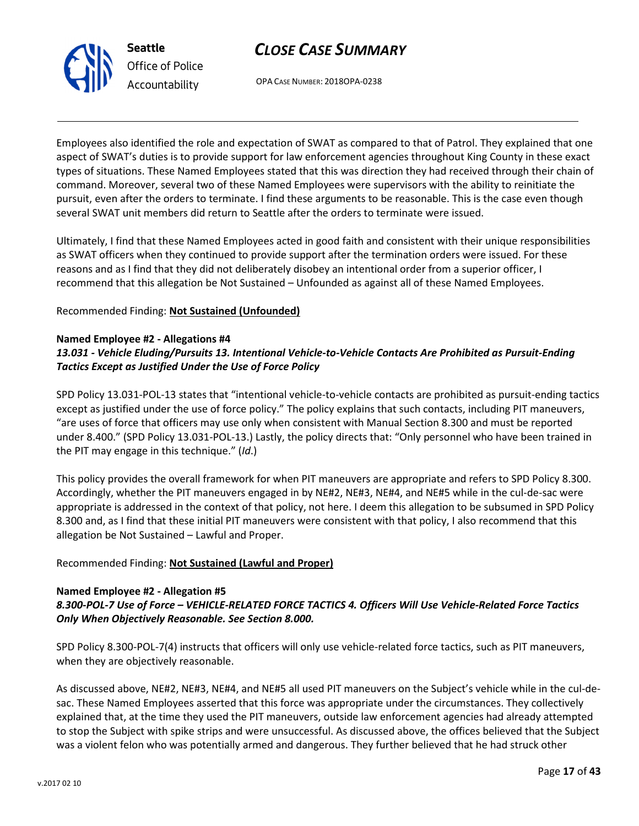



OPA CASE NUMBER: 2018OPA-0238

Employees also identified the role and expectation of SWAT as compared to that of Patrol. They explained that one aspect of SWAT's duties is to provide support for law enforcement agencies throughout King County in these exact types of situations. These Named Employees stated that this was direction they had received through their chain of command. Moreover, several two of these Named Employees were supervisors with the ability to reinitiate the pursuit, even after the orders to terminate. I find these arguments to be reasonable. This is the case even though several SWAT unit members did return to Seattle after the orders to terminate were issued.

Ultimately, I find that these Named Employees acted in good faith and consistent with their unique responsibilities as SWAT officers when they continued to provide support after the termination orders were issued. For these reasons and as I find that they did not deliberately disobey an intentional order from a superior officer, I recommend that this allegation be Not Sustained – Unfounded as against all of these Named Employees.

Recommended Finding: Not Sustained (Unfounded)

#### Named Employee #2 - Allegations #4

# 13.031 - Vehicle Eluding/Pursuits 13. Intentional Vehicle-to-Vehicle Contacts Are Prohibited as Pursuit-Ending Tactics Except as Justified Under the Use of Force Policy

SPD Policy 13.031-POL-13 states that "intentional vehicle-to-vehicle contacts are prohibited as pursuit-ending tactics except as justified under the use of force policy." The policy explains that such contacts, including PIT maneuvers, "are uses of force that officers may use only when consistent with Manual Section 8.300 and must be reported under 8.400." (SPD Policy 13.031-POL-13.) Lastly, the policy directs that: "Only personnel who have been trained in the PIT may engage in this technique." (Id.)

This policy provides the overall framework for when PIT maneuvers are appropriate and refers to SPD Policy 8.300. Accordingly, whether the PIT maneuvers engaged in by NE#2, NE#3, NE#4, and NE#5 while in the cul-de-sac were appropriate is addressed in the context of that policy, not here. I deem this allegation to be subsumed in SPD Policy 8.300 and, as I find that these initial PIT maneuvers were consistent with that policy, I also recommend that this allegation be Not Sustained – Lawful and Proper.

# Recommended Finding: Not Sustained (Lawful and Proper)

# Named Employee #2 - Allegation #5 8.300-POL-7 Use of Force – VEHICLE-RELATED FORCE TACTICS 4. Officers Will Use Vehicle-Related Force Tactics Only When Objectively Reasonable. See Section 8.000.

SPD Policy 8.300-POL-7(4) instructs that officers will only use vehicle-related force tactics, such as PIT maneuvers, when they are objectively reasonable.

As discussed above, NE#2, NE#3, NE#4, and NE#5 all used PIT maneuvers on the Subject's vehicle while in the cul-desac. These Named Employees asserted that this force was appropriate under the circumstances. They collectively explained that, at the time they used the PIT maneuvers, outside law enforcement agencies had already attempted to stop the Subject with spike strips and were unsuccessful. As discussed above, the offices believed that the Subject was a violent felon who was potentially armed and dangerous. They further believed that he had struck other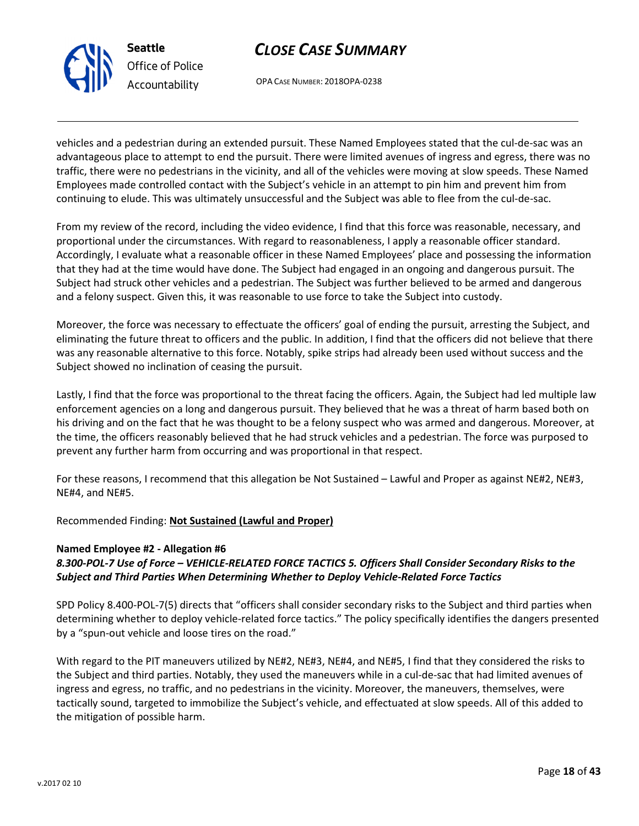

# CLOSE CASE SUMMARY

OPA CASE NUMBER: 2018OPA-0238

vehicles and a pedestrian during an extended pursuit. These Named Employees stated that the cul-de-sac was an advantageous place to attempt to end the pursuit. There were limited avenues of ingress and egress, there was no traffic, there were no pedestrians in the vicinity, and all of the vehicles were moving at slow speeds. These Named Employees made controlled contact with the Subject's vehicle in an attempt to pin him and prevent him from continuing to elude. This was ultimately unsuccessful and the Subject was able to flee from the cul-de-sac.

From my review of the record, including the video evidence, I find that this force was reasonable, necessary, and proportional under the circumstances. With regard to reasonableness, I apply a reasonable officer standard. Accordingly, I evaluate what a reasonable officer in these Named Employees' place and possessing the information that they had at the time would have done. The Subject had engaged in an ongoing and dangerous pursuit. The Subject had struck other vehicles and a pedestrian. The Subject was further believed to be armed and dangerous and a felony suspect. Given this, it was reasonable to use force to take the Subject into custody.

Moreover, the force was necessary to effectuate the officers' goal of ending the pursuit, arresting the Subject, and eliminating the future threat to officers and the public. In addition, I find that the officers did not believe that there was any reasonable alternative to this force. Notably, spike strips had already been used without success and the Subject showed no inclination of ceasing the pursuit.

Lastly, I find that the force was proportional to the threat facing the officers. Again, the Subject had led multiple law enforcement agencies on a long and dangerous pursuit. They believed that he was a threat of harm based both on his driving and on the fact that he was thought to be a felony suspect who was armed and dangerous. Moreover, at the time, the officers reasonably believed that he had struck vehicles and a pedestrian. The force was purposed to prevent any further harm from occurring and was proportional in that respect.

For these reasons, I recommend that this allegation be Not Sustained – Lawful and Proper as against NE#2, NE#3, NE#4, and NE#5.

# Recommended Finding: Not Sustained (Lawful and Proper)

# Named Employee #2 - Allegation #6

# 8.300-POL-7 Use of Force – VEHICLE-RELATED FORCE TACTICS 5. Officers Shall Consider Secondary Risks to the Subject and Third Parties When Determining Whether to Deploy Vehicle-Related Force Tactics

SPD Policy 8.400-POL-7(5) directs that "officers shall consider secondary risks to the Subject and third parties when determining whether to deploy vehicle-related force tactics." The policy specifically identifies the dangers presented by a "spun-out vehicle and loose tires on the road."

With regard to the PIT maneuvers utilized by NE#2, NE#3, NE#4, and NE#5, I find that they considered the risks to the Subject and third parties. Notably, they used the maneuvers while in a cul-de-sac that had limited avenues of ingress and egress, no traffic, and no pedestrians in the vicinity. Moreover, the maneuvers, themselves, were tactically sound, targeted to immobilize the Subject's vehicle, and effectuated at slow speeds. All of this added to the mitigation of possible harm.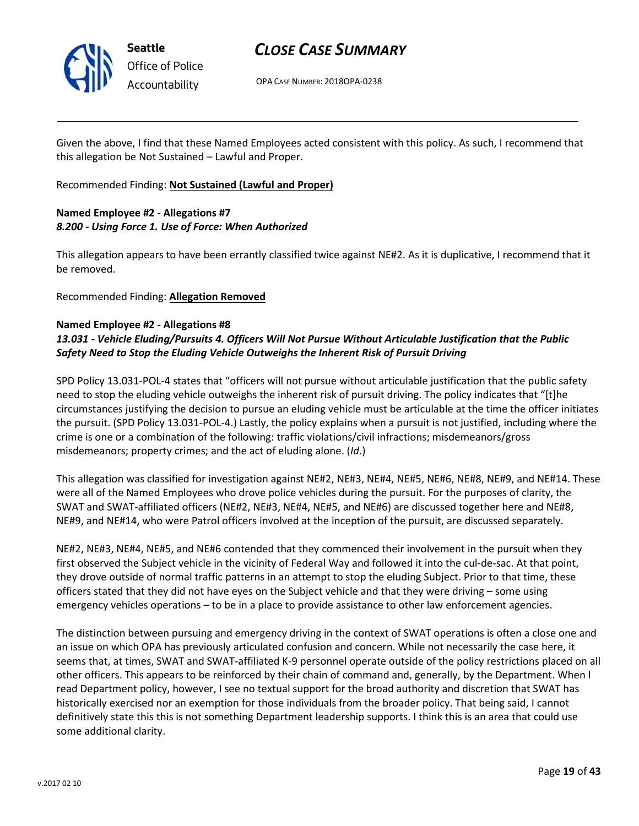

# CLOSE CASE SUMMARY

OPA CASE NUMBER: 2018OPA-0238

Given the above, I find that these Named Employees acted consistent with this policy. As such, I recommend that this allegation be Not Sustained – Lawful and Proper.

Recommended Finding: Not Sustained (Lawful and Proper)

# Named Employee #2 - Allegations #7 8.200 - Using Force 1. Use of Force: When Authorized

This allegation appears to have been errantly classified twice against NE#2. As it is duplicative, I recommend that it be removed.

Recommended Finding: Allegation Removed

### Named Employee #2 - Allegations #8

# 13.031 - Vehicle Eluding/Pursuits 4. Officers Will Not Pursue Without Articulable Justification that the Public Safety Need to Stop the Eluding Vehicle Outweighs the Inherent Risk of Pursuit Driving

SPD Policy 13.031-POL-4 states that "officers will not pursue without articulable justification that the public safety need to stop the eluding vehicle outweighs the inherent risk of pursuit driving. The policy indicates that "[t]he circumstances justifying the decision to pursue an eluding vehicle must be articulable at the time the officer initiates the pursuit. (SPD Policy 13.031-POL-4.) Lastly, the policy explains when a pursuit is not justified, including where the crime is one or a combination of the following: traffic violations/civil infractions; misdemeanors/gross misdemeanors; property crimes; and the act of eluding alone. (Id.)

This allegation was classified for investigation against NE#2, NE#3, NE#4, NE#5, NE#6, NE#8, NE#9, and NE#14. These were all of the Named Employees who drove police vehicles during the pursuit. For the purposes of clarity, the SWAT and SWAT-affiliated officers (NE#2, NE#3, NE#4, NE#5, and NE#6) are discussed together here and NE#8, NE#9, and NE#14, who were Patrol officers involved at the inception of the pursuit, are discussed separately.

NE#2, NE#3, NE#4, NE#5, and NE#6 contended that they commenced their involvement in the pursuit when they first observed the Subject vehicle in the vicinity of Federal Way and followed it into the cul-de-sac. At that point, they drove outside of normal traffic patterns in an attempt to stop the eluding Subject. Prior to that time, these officers stated that they did not have eyes on the Subject vehicle and that they were driving – some using emergency vehicles operations – to be in a place to provide assistance to other law enforcement agencies.

The distinction between pursuing and emergency driving in the context of SWAT operations is often a close one and an issue on which OPA has previously articulated confusion and concern. While not necessarily the case here, it seems that, at times, SWAT and SWAT-affiliated K-9 personnel operate outside of the policy restrictions placed on all other officers. This appears to be reinforced by their chain of command and, generally, by the Department. When I read Department policy, however, I see no textual support for the broad authority and discretion that SWAT has historically exercised nor an exemption for those individuals from the broader policy. That being said, I cannot definitively state this this is not something Department leadership supports. I think this is an area that could use some additional clarity.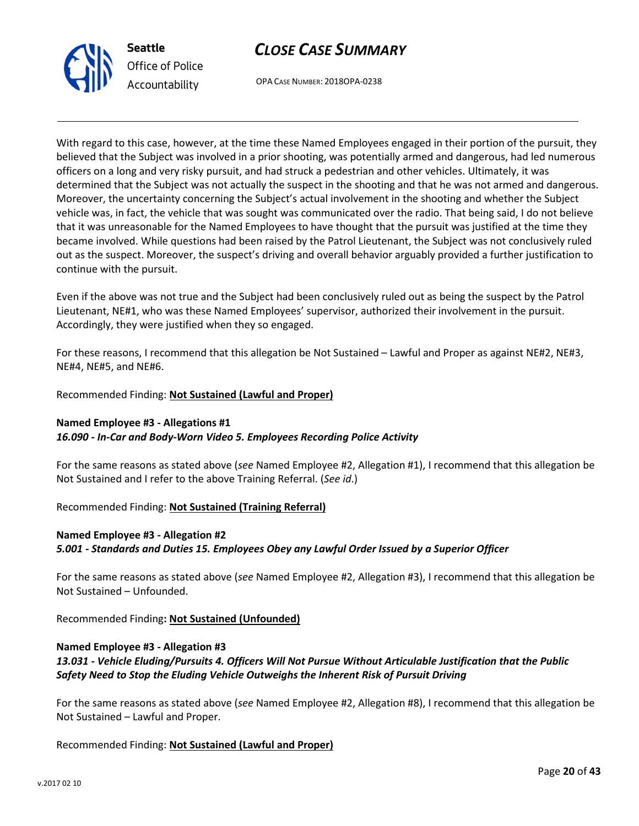



OPA CASE NUMBER: 2018OPA-0238

With regard to this case, however, at the time these Named Employees engaged in their portion of the pursuit, they believed that the Subject was involved in a prior shooting, was potentially armed and dangerous, had led numerous officers on a long and very risky pursuit, and had struck a pedestrian and other vehicles. Ultimately, it was determined that the Subject was not actually the suspect in the shooting and that he was not armed and dangerous. Moreover, the uncertainty concerning the Subject's actual involvement in the shooting and whether the Subject vehicle was, in fact, the vehicle that was sought was communicated over the radio. That being said, I do not believe that it was unreasonable for the Named Employees to have thought that the pursuit was justified at the time they became involved. While questions had been raised by the Patrol Lieutenant, the Subject was not conclusively ruled out as the suspect. Moreover, the suspect's driving and overall behavior arguably provided a further justification to continue with the pursuit.

Even if the above was not true and the Subject had been conclusively ruled out as being the suspect by the Patrol Lieutenant, NE#1, who was these Named Employees' supervisor, authorized their involvement in the pursuit. Accordingly, they were justified when they so engaged.

For these reasons, I recommend that this allegation be Not Sustained – Lawful and Proper as against NE#2, NE#3, NE#4, NE#5, and NE#6.

Recommended Finding: Not Sustained (Lawful and Proper)

# Named Employee #3 - Allegations #1

#### 16.090 - In-Car and Body-Worn Video 5. Employees Recording Police Activity

For the same reasons as stated above (see Named Employee #2, Allegation #1), I recommend that this allegation be Not Sustained and I refer to the above Training Referral. (See id.)

#### Recommended Finding: Not Sustained (Training Referral)

# Named Employee #3 - Allegation #2 5.001 - Standards and Duties 15. Employees Obey any Lawful Order Issued by a Superior Officer

For the same reasons as stated above (see Named Employee #2, Allegation #3), I recommend that this allegation be Not Sustained – Unfounded.

Recommended Finding: Not Sustained (Unfounded)

# Named Employee #3 - Allegation #3

# 13.031 - Vehicle Eluding/Pursuits 4. Officers Will Not Pursue Without Articulable Justification that the Public Safety Need to Stop the Eluding Vehicle Outweighs the Inherent Risk of Pursuit Driving

For the same reasons as stated above (see Named Employee #2, Allegation #8), I recommend that this allegation be Not Sustained – Lawful and Proper.

Recommended Finding: Not Sustained (Lawful and Proper)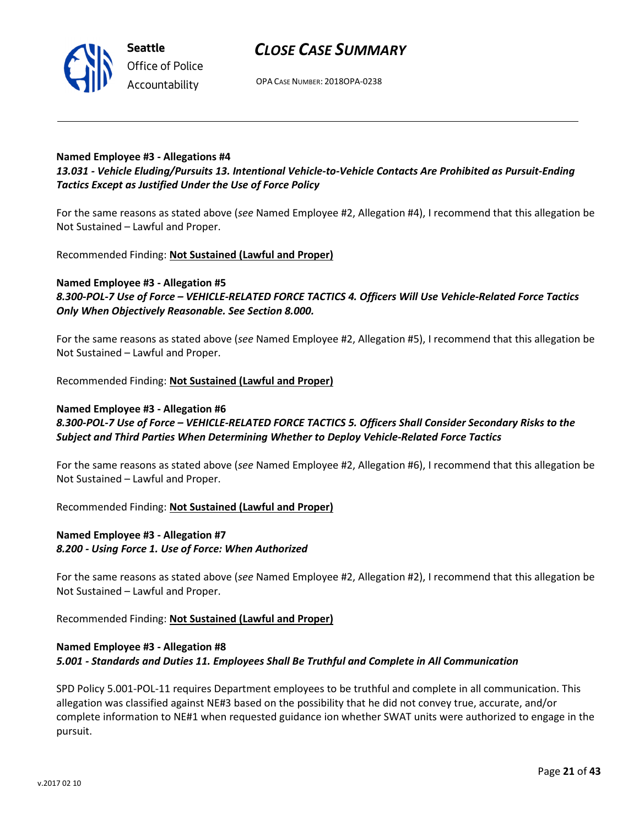

OPA CASE NUMBER: 2018OPA-0238

### Named Employee #3 - Allegations #4

# 13.031 - Vehicle Eluding/Pursuits 13. Intentional Vehicle-to-Vehicle Contacts Are Prohibited as Pursuit-Ending Tactics Except as Justified Under the Use of Force Policy

For the same reasons as stated above (see Named Employee #2, Allegation #4), I recommend that this allegation be Not Sustained – Lawful and Proper.

Recommended Finding: Not Sustained (Lawful and Proper)

### Named Employee #3 - Allegation #5 8.300-POL-7 Use of Force – VEHICLE-RELATED FORCE TACTICS 4. Officers Will Use Vehicle-Related Force Tactics Only When Objectively Reasonable. See Section 8.000.

For the same reasons as stated above (see Named Employee #2, Allegation #5), I recommend that this allegation be Not Sustained – Lawful and Proper.

Recommended Finding: Not Sustained (Lawful and Proper)

### Named Employee #3 - Allegation #6 8.300-POL-7 Use of Force – VEHICLE-RELATED FORCE TACTICS 5. Officers Shall Consider Secondary Risks to the Subject and Third Parties When Determining Whether to Deploy Vehicle-Related Force Tactics

For the same reasons as stated above (see Named Employee #2, Allegation #6), I recommend that this allegation be Not Sustained – Lawful and Proper.

Recommended Finding: Not Sustained (Lawful and Proper)

# Named Employee #3 - Allegation #7 8.200 - Using Force 1. Use of Force: When Authorized

For the same reasons as stated above (see Named Employee #2, Allegation #2), I recommend that this allegation be Not Sustained – Lawful and Proper.

Recommended Finding: Not Sustained (Lawful and Proper)

# Named Employee #3 - Allegation #8 5.001 - Standards and Duties 11. Employees Shall Be Truthful and Complete in All Communication

SPD Policy 5.001-POL-11 requires Department employees to be truthful and complete in all communication. This allegation was classified against NE#3 based on the possibility that he did not convey true, accurate, and/or complete information to NE#1 when requested guidance ion whether SWAT units were authorized to engage in the pursuit.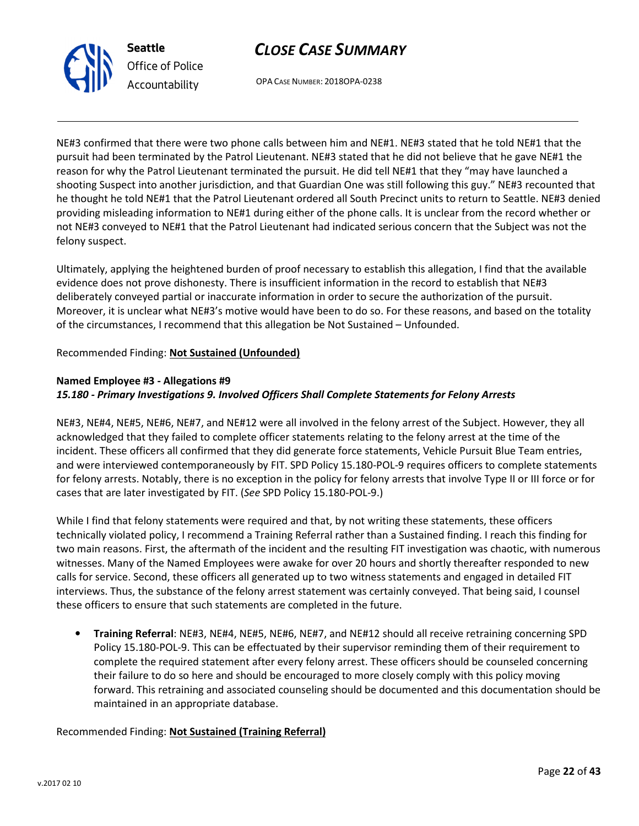

OPA CASE NUMBER: 2018OPA-0238

NE#3 confirmed that there were two phone calls between him and NE#1. NE#3 stated that he told NE#1 that the pursuit had been terminated by the Patrol Lieutenant. NE#3 stated that he did not believe that he gave NE#1 the reason for why the Patrol Lieutenant terminated the pursuit. He did tell NE#1 that they "may have launched a shooting Suspect into another jurisdiction, and that Guardian One was still following this guy." NE#3 recounted that he thought he told NE#1 that the Patrol Lieutenant ordered all South Precinct units to return to Seattle. NE#3 denied providing misleading information to NE#1 during either of the phone calls. It is unclear from the record whether or not NE#3 conveyed to NE#1 that the Patrol Lieutenant had indicated serious concern that the Subject was not the felony suspect.

Ultimately, applying the heightened burden of proof necessary to establish this allegation, I find that the available evidence does not prove dishonesty. There is insufficient information in the record to establish that NE#3 deliberately conveyed partial or inaccurate information in order to secure the authorization of the pursuit. Moreover, it is unclear what NE#3's motive would have been to do so. For these reasons, and based on the totality of the circumstances, I recommend that this allegation be Not Sustained – Unfounded.

# Recommended Finding: Not Sustained (Unfounded)

### Named Employee #3 - Allegations #9

# 15.180 - Primary Investigations 9. Involved Officers Shall Complete Statements for Felony Arrests

NE#3, NE#4, NE#5, NE#6, NE#7, and NE#12 were all involved in the felony arrest of the Subject. However, they all acknowledged that they failed to complete officer statements relating to the felony arrest at the time of the incident. These officers all confirmed that they did generate force statements, Vehicle Pursuit Blue Team entries, and were interviewed contemporaneously by FIT. SPD Policy 15.180-POL-9 requires officers to complete statements for felony arrests. Notably, there is no exception in the policy for felony arrests that involve Type II or III force or for cases that are later investigated by FIT. (See SPD Policy 15.180-POL-9.)

While I find that felony statements were required and that, by not writing these statements, these officers technically violated policy, I recommend a Training Referral rather than a Sustained finding. I reach this finding for two main reasons. First, the aftermath of the incident and the resulting FIT investigation was chaotic, with numerous witnesses. Many of the Named Employees were awake for over 20 hours and shortly thereafter responded to new calls for service. Second, these officers all generated up to two witness statements and engaged in detailed FIT interviews. Thus, the substance of the felony arrest statement was certainly conveyed. That being said, I counsel these officers to ensure that such statements are completed in the future.

• Training Referral: NE#3, NE#4, NE#5, NE#6, NE#7, and NE#12 should all receive retraining concerning SPD Policy 15.180-POL-9. This can be effectuated by their supervisor reminding them of their requirement to complete the required statement after every felony arrest. These officers should be counseled concerning their failure to do so here and should be encouraged to more closely comply with this policy moving forward. This retraining and associated counseling should be documented and this documentation should be maintained in an appropriate database.

# Recommended Finding: Not Sustained (Training Referral)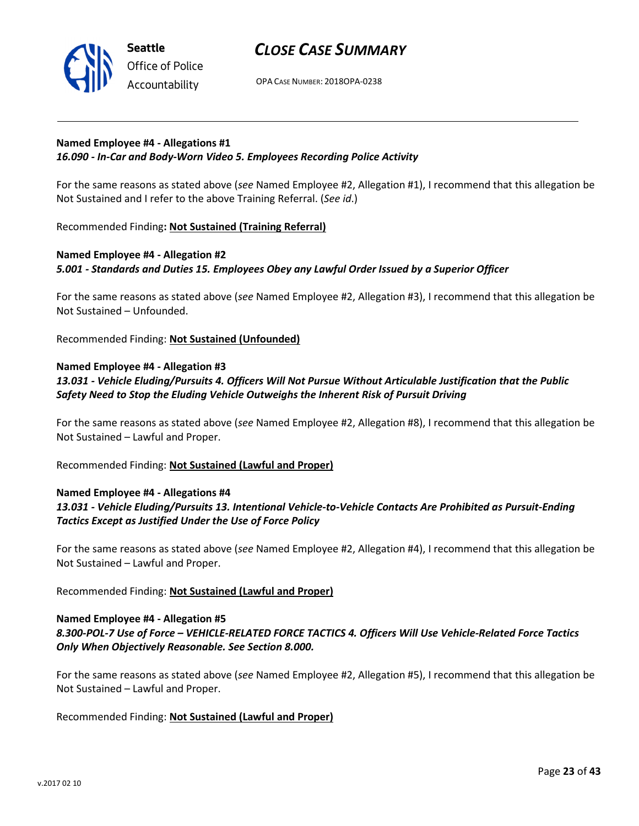

OPA CASE NUMBER: 2018OPA-0238

#### Named Employee #4 - Allegations #1 16.090 - In-Car and Body-Worn Video 5. Employees Recording Police Activity

For the same reasons as stated above (see Named Employee #2, Allegation #1), I recommend that this allegation be Not Sustained and I refer to the above Training Referral. (See id.)

Recommended Finding: Not Sustained (Training Referral)

# Named Employee #4 - Allegation #2 5.001 - Standards and Duties 15. Employees Obey any Lawful Order Issued by a Superior Officer

For the same reasons as stated above (see Named Employee #2, Allegation #3), I recommend that this allegation be Not Sustained – Unfounded.

Recommended Finding: Not Sustained (Unfounded)

### Named Employee #4 - Allegation #3

# 13.031 - Vehicle Eluding/Pursuits 4. Officers Will Not Pursue Without Articulable Justification that the Public Safety Need to Stop the Eluding Vehicle Outweighs the Inherent Risk of Pursuit Driving

For the same reasons as stated above (see Named Employee #2, Allegation #8), I recommend that this allegation be Not Sustained – Lawful and Proper.

Recommended Finding: Not Sustained (Lawful and Proper)

# Named Employee #4 - Allegations #4

# 13.031 - Vehicle Eluding/Pursuits 13. Intentional Vehicle-to-Vehicle Contacts Are Prohibited as Pursuit-Ending Tactics Except as Justified Under the Use of Force Policy

For the same reasons as stated above (see Named Employee #2, Allegation #4), I recommend that this allegation be Not Sustained – Lawful and Proper.

Recommended Finding: Not Sustained (Lawful and Proper)

#### Named Employee #4 - Allegation #5

# 8.300-POL-7 Use of Force – VEHICLE-RELATED FORCE TACTICS 4. Officers Will Use Vehicle-Related Force Tactics Only When Objectively Reasonable. See Section 8.000.

For the same reasons as stated above (see Named Employee #2, Allegation #5), I recommend that this allegation be Not Sustained – Lawful and Proper.

# Recommended Finding: Not Sustained (Lawful and Proper)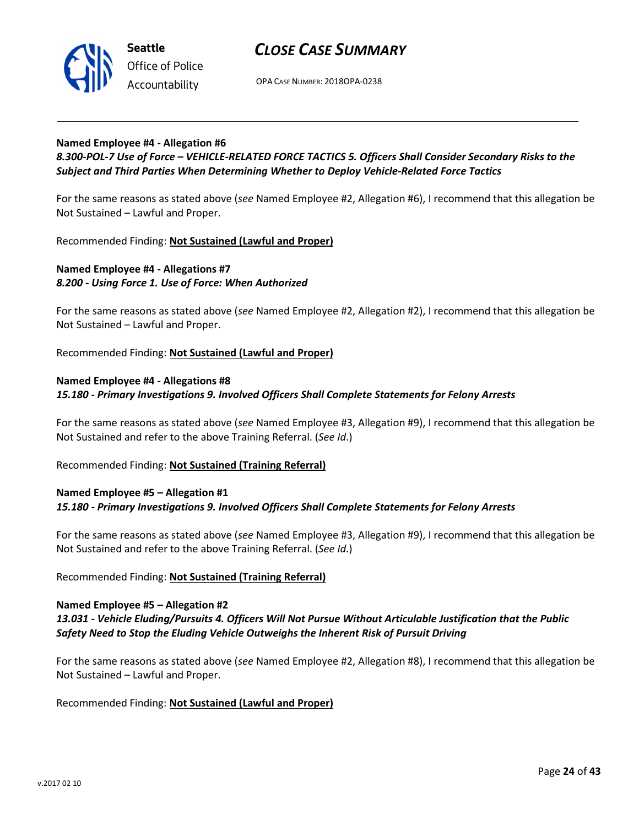

OPA CASE NUMBER: 2018OPA-0238

#### Named Employee #4 - Allegation #6

### 8.300-POL-7 Use of Force – VEHICLE-RELATED FORCE TACTICS 5. Officers Shall Consider Secondary Risks to the Subject and Third Parties When Determining Whether to Deploy Vehicle-Related Force Tactics

For the same reasons as stated above (see Named Employee #2, Allegation #6), I recommend that this allegation be Not Sustained – Lawful and Proper.

Recommended Finding: Not Sustained (Lawful and Proper)

### Named Employee #4 - Allegations #7 8.200 - Using Force 1. Use of Force: When Authorized

For the same reasons as stated above (see Named Employee #2, Allegation #2), I recommend that this allegation be Not Sustained – Lawful and Proper.

Recommended Finding: Not Sustained (Lawful and Proper)

#### Named Employee #4 - Allegations #8 15.180 - Primary Investigations 9. Involved Officers Shall Complete Statements for Felony Arrests

For the same reasons as stated above (see Named Employee #3, Allegation #9), I recommend that this allegation be Not Sustained and refer to the above Training Referral. (See Id.)

Recommended Finding: Not Sustained (Training Referral)

#### Named Employee #5 – Allegation #1 15.180 - Primary Investigations 9. Involved Officers Shall Complete Statements for Felony Arrests

For the same reasons as stated above (see Named Employee #3, Allegation #9), I recommend that this allegation be Not Sustained and refer to the above Training Referral. (See Id.)

#### Recommended Finding: Not Sustained (Training Referral)

#### Named Employee #5 – Allegation #2

#### 13.031 - Vehicle Eluding/Pursuits 4. Officers Will Not Pursue Without Articulable Justification that the Public Safety Need to Stop the Eluding Vehicle Outweighs the Inherent Risk of Pursuit Driving

For the same reasons as stated above (see Named Employee #2, Allegation #8), I recommend that this allegation be Not Sustained – Lawful and Proper.

Recommended Finding: Not Sustained (Lawful and Proper)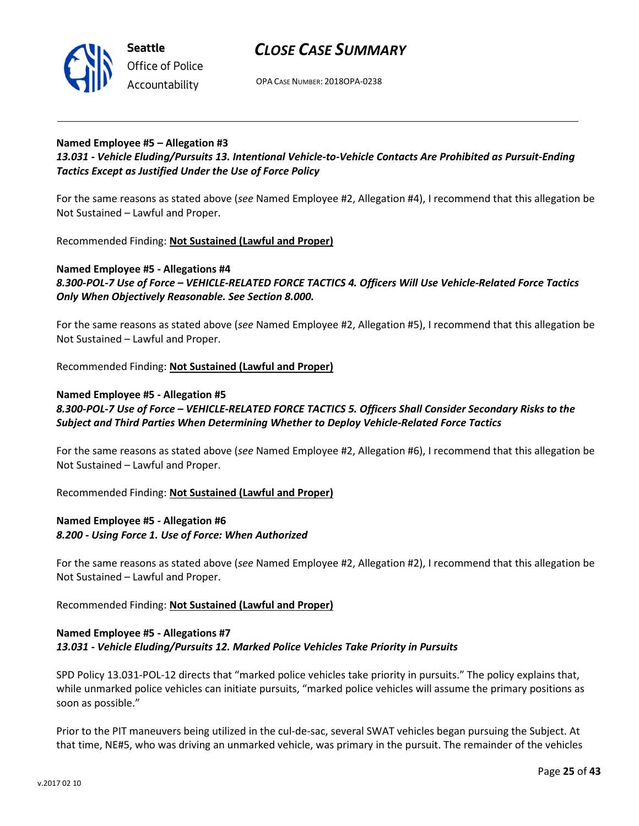



Office of Police Accountability

OPA CASE NUMBER: 2018OPA-0238

# Named Employee #5 – Allegation #3

# 13.031 - Vehicle Eluding/Pursuits 13. Intentional Vehicle-to-Vehicle Contacts Are Prohibited as Pursuit-Ending Tactics Except as Justified Under the Use of Force Policy

For the same reasons as stated above (see Named Employee #2, Allegation #4), I recommend that this allegation be Not Sustained – Lawful and Proper.

Recommended Finding: Not Sustained (Lawful and Proper)

# Named Employee #5 - Allegations #4 8.300-POL-7 Use of Force – VEHICLE-RELATED FORCE TACTICS 4. Officers Will Use Vehicle-Related Force Tactics Only When Objectively Reasonable. See Section 8.000.

For the same reasons as stated above (see Named Employee #2, Allegation #5), I recommend that this allegation be Not Sustained – Lawful and Proper.

Recommended Finding: Not Sustained (Lawful and Proper)

### Named Employee #5 - Allegation #5

# 8.300-POL-7 Use of Force – VEHICLE-RELATED FORCE TACTICS 5. Officers Shall Consider Secondary Risks to the Subject and Third Parties When Determining Whether to Deploy Vehicle-Related Force Tactics

For the same reasons as stated above (see Named Employee #2, Allegation #6), I recommend that this allegation be Not Sustained – Lawful and Proper.

Recommended Finding: Not Sustained (Lawful and Proper)

# Named Employee #5 - Allegation #6 8.200 - Using Force 1. Use of Force: When Authorized

For the same reasons as stated above (see Named Employee #2, Allegation #2), I recommend that this allegation be Not Sustained – Lawful and Proper.

Recommended Finding: Not Sustained (Lawful and Proper)

# Named Employee #5 - Allegations #7 13.031 - Vehicle Eluding/Pursuits 12. Marked Police Vehicles Take Priority in Pursuits

SPD Policy 13.031-POL-12 directs that "marked police vehicles take priority in pursuits." The policy explains that, while unmarked police vehicles can initiate pursuits, "marked police vehicles will assume the primary positions as soon as possible."

Prior to the PIT maneuvers being utilized in the cul-de-sac, several SWAT vehicles began pursuing the Subject. At that time, NE#5, who was driving an unmarked vehicle, was primary in the pursuit. The remainder of the vehicles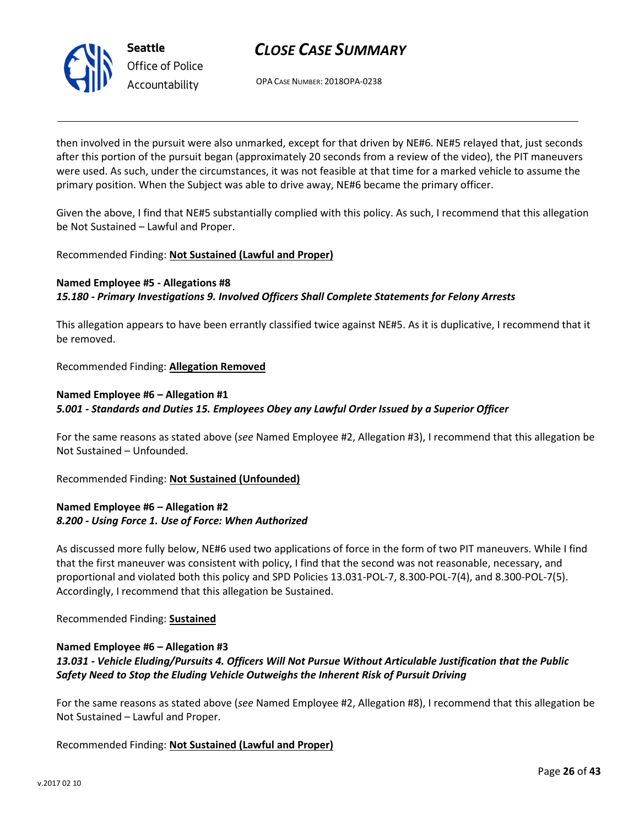

OPA CASE NUMBER: 2018OPA-0238

then involved in the pursuit were also unmarked, except for that driven by NE#6. NE#5 relayed that, just seconds after this portion of the pursuit began (approximately 20 seconds from a review of the video), the PIT maneuvers were used. As such, under the circumstances, it was not feasible at that time for a marked vehicle to assume the primary position. When the Subject was able to drive away, NE#6 became the primary officer.

Given the above, I find that NE#5 substantially complied with this policy. As such, I recommend that this allegation be Not Sustained – Lawful and Proper.

### Recommended Finding: Not Sustained (Lawful and Proper)

# Named Employee #5 - Allegations #8 15.180 - Primary Investigations 9. Involved Officers Shall Complete Statements for Felony Arrests

This allegation appears to have been errantly classified twice against NE#5. As it is duplicative, I recommend that it be removed.

Recommended Finding: Allegation Removed

# Named Employee #6 – Allegation #1 5.001 - Standards and Duties 15. Employees Obey any Lawful Order Issued by a Superior Officer

For the same reasons as stated above (see Named Employee #2, Allegation #3), I recommend that this allegation be Not Sustained – Unfounded.

Recommended Finding: Not Sustained (Unfounded)

### Named Employee #6 – Allegation #2 8.200 - Using Force 1. Use of Force: When Authorized

As discussed more fully below, NE#6 used two applications of force in the form of two PIT maneuvers. While I find that the first maneuver was consistent with policy, I find that the second was not reasonable, necessary, and proportional and violated both this policy and SPD Policies 13.031-POL-7, 8.300-POL-7(4), and 8.300-POL-7(5). Accordingly, I recommend that this allegation be Sustained.

Recommended Finding: Sustained

### Named Employee #6 – Allegation #3 13.031 - Vehicle Eluding/Pursuits 4. Officers Will Not Pursue Without Articulable Justification that the Public Safety Need to Stop the Eluding Vehicle Outweighs the Inherent Risk of Pursuit Driving

For the same reasons as stated above (see Named Employee #2, Allegation #8), I recommend that this allegation be Not Sustained – Lawful and Proper.

Recommended Finding: Not Sustained (Lawful and Proper)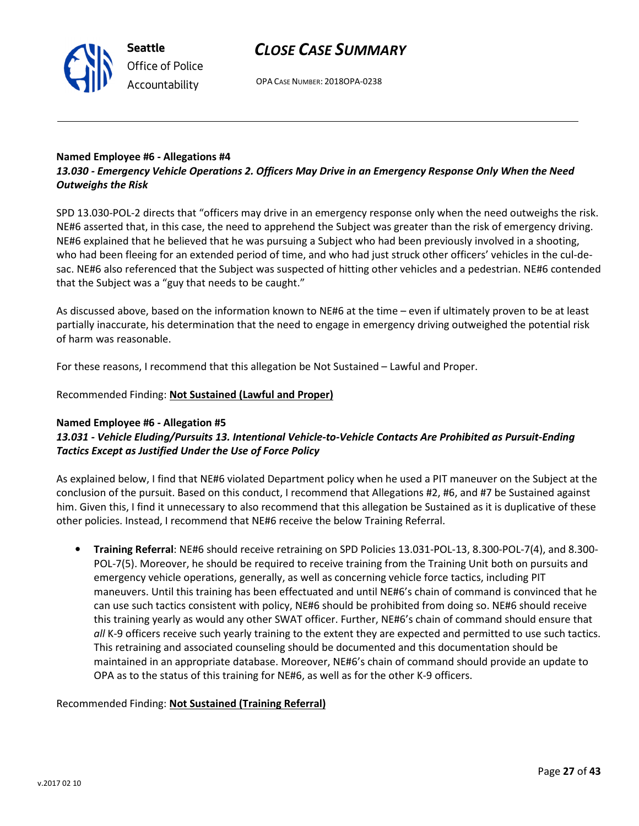OPA CASE NUMBER: 2018OPA-0238

#### Named Employee #6 - Allegations #4 13.030 - Emergency Vehicle Operations 2. Officers May Drive in an Emergency Response Only When the Need Outweighs the Risk

SPD 13.030-POL-2 directs that "officers may drive in an emergency response only when the need outweighs the risk. NE#6 asserted that, in this case, the need to apprehend the Subject was greater than the risk of emergency driving. NE#6 explained that he believed that he was pursuing a Subject who had been previously involved in a shooting, who had been fleeing for an extended period of time, and who had just struck other officers' vehicles in the cul-desac. NE#6 also referenced that the Subject was suspected of hitting other vehicles and a pedestrian. NE#6 contended that the Subject was a "guy that needs to be caught."

As discussed above, based on the information known to NE#6 at the time – even if ultimately proven to be at least partially inaccurate, his determination that the need to engage in emergency driving outweighed the potential risk of harm was reasonable.

For these reasons, I recommend that this allegation be Not Sustained – Lawful and Proper.

### Recommended Finding: Not Sustained (Lawful and Proper)

#### Named Employee #6 - Allegation #5

# 13.031 - Vehicle Eluding/Pursuits 13. Intentional Vehicle-to-Vehicle Contacts Are Prohibited as Pursuit-Ending Tactics Except as Justified Under the Use of Force Policy

As explained below, I find that NE#6 violated Department policy when he used a PIT maneuver on the Subject at the conclusion of the pursuit. Based on this conduct, I recommend that Allegations #2, #6, and #7 be Sustained against him. Given this, I find it unnecessary to also recommend that this allegation be Sustained as it is duplicative of these other policies. Instead, I recommend that NE#6 receive the below Training Referral.

• Training Referral: NE#6 should receive retraining on SPD Policies 13.031-POL-13, 8.300-POL-7(4), and 8.300- POL-7(5). Moreover, he should be required to receive training from the Training Unit both on pursuits and emergency vehicle operations, generally, as well as concerning vehicle force tactics, including PIT maneuvers. Until this training has been effectuated and until NE#6's chain of command is convinced that he can use such tactics consistent with policy, NE#6 should be prohibited from doing so. NE#6 should receive this training yearly as would any other SWAT officer. Further, NE#6's chain of command should ensure that all K-9 officers receive such yearly training to the extent they are expected and permitted to use such tactics. This retraining and associated counseling should be documented and this documentation should be maintained in an appropriate database. Moreover, NE#6's chain of command should provide an update to OPA as to the status of this training for NE#6, as well as for the other K-9 officers.

#### Recommended Finding: Not Sustained (Training Referral)



Seattle Office of Police Accountability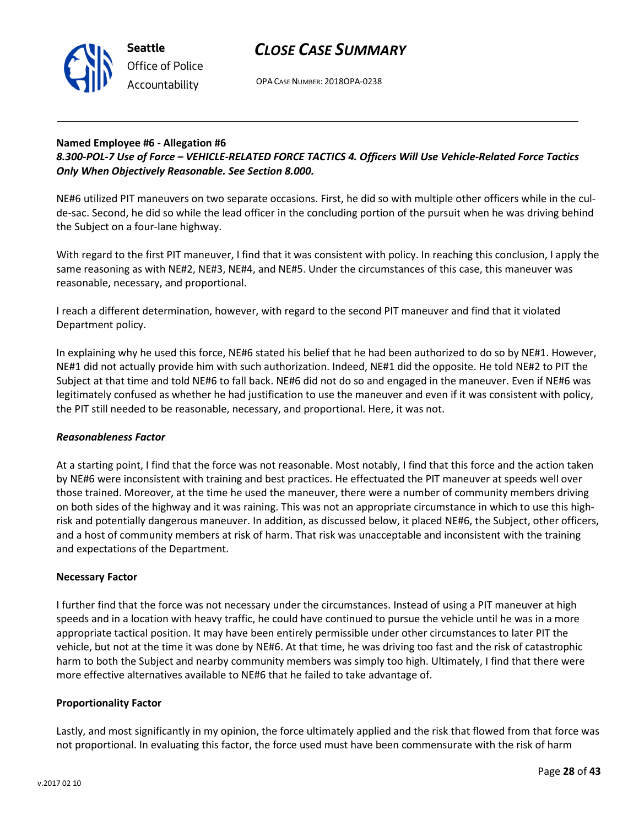

OPA CASE NUMBER: 2018OPA-0238

#### Named Employee #6 - Allegation #6 8.300-POL-7 Use of Force – VEHICLE-RELATED FORCE TACTICS 4. Officers Will Use Vehicle-Related Force Tactics Only When Objectively Reasonable. See Section 8.000.

NE#6 utilized PIT maneuvers on two separate occasions. First, he did so with multiple other officers while in the culde-sac. Second, he did so while the lead officer in the concluding portion of the pursuit when he was driving behind the Subject on a four-lane highway.

With regard to the first PIT maneuver, I find that it was consistent with policy. In reaching this conclusion, I apply the same reasoning as with NE#2, NE#3, NE#4, and NE#5. Under the circumstances of this case, this maneuver was reasonable, necessary, and proportional.

I reach a different determination, however, with regard to the second PIT maneuver and find that it violated Department policy.

In explaining why he used this force, NE#6 stated his belief that he had been authorized to do so by NE#1. However, NE#1 did not actually provide him with such authorization. Indeed, NE#1 did the opposite. He told NE#2 to PIT the Subject at that time and told NE#6 to fall back. NE#6 did not do so and engaged in the maneuver. Even if NE#6 was legitimately confused as whether he had justification to use the maneuver and even if it was consistent with policy, the PIT still needed to be reasonable, necessary, and proportional. Here, it was not.

#### Reasonableness Factor

At a starting point, I find that the force was not reasonable. Most notably, I find that this force and the action taken by NE#6 were inconsistent with training and best practices. He effectuated the PIT maneuver at speeds well over those trained. Moreover, at the time he used the maneuver, there were a number of community members driving on both sides of the highway and it was raining. This was not an appropriate circumstance in which to use this highrisk and potentially dangerous maneuver. In addition, as discussed below, it placed NE#6, the Subject, other officers, and a host of community members at risk of harm. That risk was unacceptable and inconsistent with the training and expectations of the Department.

#### Necessary Factor

I further find that the force was not necessary under the circumstances. Instead of using a PIT maneuver at high speeds and in a location with heavy traffic, he could have continued to pursue the vehicle until he was in a more appropriate tactical position. It may have been entirely permissible under other circumstances to later PIT the vehicle, but not at the time it was done by NE#6. At that time, he was driving too fast and the risk of catastrophic harm to both the Subject and nearby community members was simply too high. Ultimately, I find that there were more effective alternatives available to NE#6 that he failed to take advantage of.

#### Proportionality Factor

Lastly, and most significantly in my opinion, the force ultimately applied and the risk that flowed from that force was not proportional. In evaluating this factor, the force used must have been commensurate with the risk of harm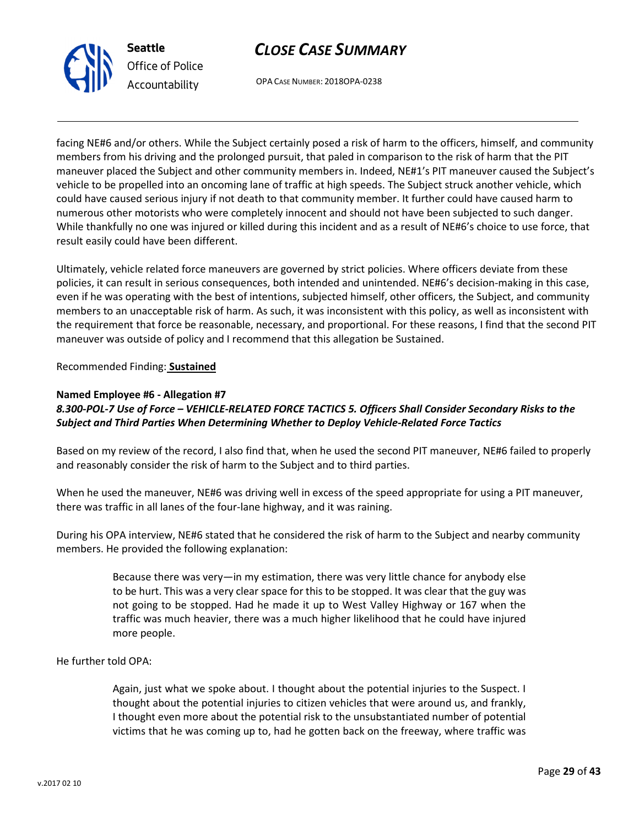

OPA CASE NUMBER: 2018OPA-0238

facing NE#6 and/or others. While the Subject certainly posed a risk of harm to the officers, himself, and community members from his driving and the prolonged pursuit, that paled in comparison to the risk of harm that the PIT maneuver placed the Subject and other community members in. Indeed, NE#1's PIT maneuver caused the Subject's vehicle to be propelled into an oncoming lane of traffic at high speeds. The Subject struck another vehicle, which could have caused serious injury if not death to that community member. It further could have caused harm to numerous other motorists who were completely innocent and should not have been subjected to such danger. While thankfully no one was injured or killed during this incident and as a result of NE#6's choice to use force, that result easily could have been different.

Ultimately, vehicle related force maneuvers are governed by strict policies. Where officers deviate from these policies, it can result in serious consequences, both intended and unintended. NE#6's decision-making in this case, even if he was operating with the best of intentions, subjected himself, other officers, the Subject, and community members to an unacceptable risk of harm. As such, it was inconsistent with this policy, as well as inconsistent with the requirement that force be reasonable, necessary, and proportional. For these reasons, I find that the second PIT maneuver was outside of policy and I recommend that this allegation be Sustained.

Recommended Finding: Sustained

### Named Employee #6 - Allegation #7

# 8.300-POL-7 Use of Force – VEHICLE-RELATED FORCE TACTICS 5. Officers Shall Consider Secondary Risks to the Subject and Third Parties When Determining Whether to Deploy Vehicle-Related Force Tactics

Based on my review of the record, I also find that, when he used the second PIT maneuver, NE#6 failed to properly and reasonably consider the risk of harm to the Subject and to third parties.

When he used the maneuver, NE#6 was driving well in excess of the speed appropriate for using a PIT maneuver, there was traffic in all lanes of the four-lane highway, and it was raining.

During his OPA interview, NE#6 stated that he considered the risk of harm to the Subject and nearby community members. He provided the following explanation:

> Because there was very—in my estimation, there was very little chance for anybody else to be hurt. This was a very clear space for this to be stopped. It was clear that the guy was not going to be stopped. Had he made it up to West Valley Highway or 167 when the traffic was much heavier, there was a much higher likelihood that he could have injured more people.

He further told OPA:

Again, just what we spoke about. I thought about the potential injuries to the Suspect. I thought about the potential injuries to citizen vehicles that were around us, and frankly, I thought even more about the potential risk to the unsubstantiated number of potential victims that he was coming up to, had he gotten back on the freeway, where traffic was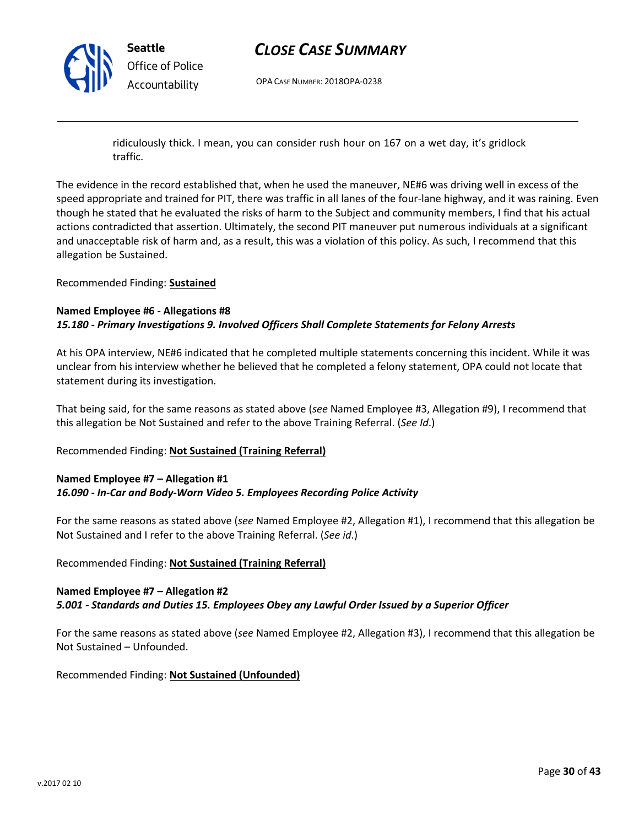

OPA CASE NUMBER: 2018OPA-0238

ridiculously thick. I mean, you can consider rush hour on 167 on a wet day, it's gridlock traffic.

The evidence in the record established that, when he used the maneuver, NE#6 was driving well in excess of the speed appropriate and trained for PIT, there was traffic in all lanes of the four-lane highway, and it was raining. Even though he stated that he evaluated the risks of harm to the Subject and community members, I find that his actual actions contradicted that assertion. Ultimately, the second PIT maneuver put numerous individuals at a significant and unacceptable risk of harm and, as a result, this was a violation of this policy. As such, I recommend that this allegation be Sustained.

Recommended Finding: Sustained

#### Named Employee #6 - Allegations #8 15.180 - Primary Investigations 9. Involved Officers Shall Complete Statements for Felony Arrests

At his OPA interview, NE#6 indicated that he completed multiple statements concerning this incident. While it was unclear from his interview whether he believed that he completed a felony statement, OPA could not locate that statement during its investigation.

That being said, for the same reasons as stated above (see Named Employee #3, Allegation #9), I recommend that this allegation be Not Sustained and refer to the above Training Referral. (See Id.)

#### Recommended Finding: Not Sustained (Training Referral)

### Named Employee #7 – Allegation #1 16.090 - In-Car and Body-Worn Video 5. Employees Recording Police Activity

For the same reasons as stated above (see Named Employee #2, Allegation #1), I recommend that this allegation be Not Sustained and I refer to the above Training Referral. (See id.)

#### Recommended Finding: Not Sustained (Training Referral)

# Named Employee #7 – Allegation #2 5.001 - Standards and Duties 15. Employees Obey any Lawful Order Issued by a Superior Officer

For the same reasons as stated above (see Named Employee #2, Allegation #3), I recommend that this allegation be Not Sustained – Unfounded.

Recommended Finding: Not Sustained (Unfounded)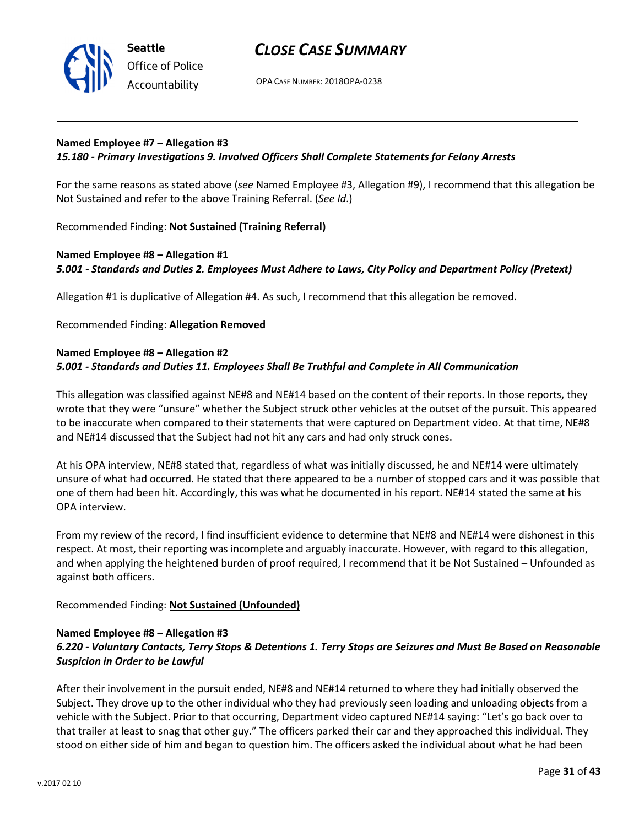

OPA CASE NUMBER: 2018OPA-0238

#### Named Employee #7 – Allegation #3

#### 15.180 - Primary Investigations 9. Involved Officers Shall Complete Statements for Felony Arrests

For the same reasons as stated above (see Named Employee #3, Allegation #9), I recommend that this allegation be Not Sustained and refer to the above Training Referral. (See Id.)

Recommended Finding: Not Sustained (Training Referral)

### Named Employee #8 – Allegation #1 5.001 - Standards and Duties 2. Employees Must Adhere to Laws, City Policy and Department Policy (Pretext)

Allegation #1 is duplicative of Allegation #4. As such, I recommend that this allegation be removed.

Recommended Finding: Allegation Removed

#### Named Employee #8 – Allegation #2 5.001 - Standards and Duties 11. Employees Shall Be Truthful and Complete in All Communication

This allegation was classified against NE#8 and NE#14 based on the content of their reports. In those reports, they wrote that they were "unsure" whether the Subject struck other vehicles at the outset of the pursuit. This appeared to be inaccurate when compared to their statements that were captured on Department video. At that time, NE#8 and NE#14 discussed that the Subject had not hit any cars and had only struck cones.

At his OPA interview, NE#8 stated that, regardless of what was initially discussed, he and NE#14 were ultimately unsure of what had occurred. He stated that there appeared to be a number of stopped cars and it was possible that one of them had been hit. Accordingly, this was what he documented in his report. NE#14 stated the same at his OPA interview.

From my review of the record, I find insufficient evidence to determine that NE#8 and NE#14 were dishonest in this respect. At most, their reporting was incomplete and arguably inaccurate. However, with regard to this allegation, and when applying the heightened burden of proof required, I recommend that it be Not Sustained – Unfounded as against both officers.

Recommended Finding: Not Sustained (Unfounded)

#### Named Employee #8 – Allegation #3

# 6.220 - Voluntary Contacts, Terry Stops & Detentions 1. Terry Stops are Seizures and Must Be Based on Reasonable Suspicion in Order to be Lawful

After their involvement in the pursuit ended, NE#8 and NE#14 returned to where they had initially observed the Subject. They drove up to the other individual who they had previously seen loading and unloading objects from a vehicle with the Subject. Prior to that occurring, Department video captured NE#14 saying: "Let's go back over to that trailer at least to snag that other guy." The officers parked their car and they approached this individual. They stood on either side of him and began to question him. The officers asked the individual about what he had been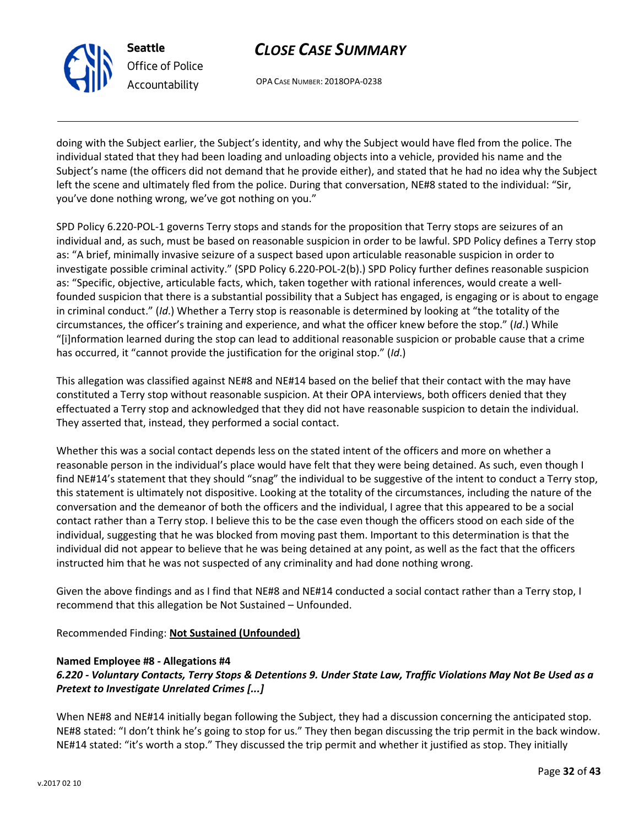

Seattle

Office of Police Accountability

CLOSE CASE SUMMARY

OPA CASE NUMBER: 2018OPA-0238

doing with the Subject earlier, the Subject's identity, and why the Subject would have fled from the police. The individual stated that they had been loading and unloading objects into a vehicle, provided his name and the Subject's name (the officers did not demand that he provide either), and stated that he had no idea why the Subject left the scene and ultimately fled from the police. During that conversation, NE#8 stated to the individual: "Sir, you've done nothing wrong, we've got nothing on you."

SPD Policy 6.220-POL-1 governs Terry stops and stands for the proposition that Terry stops are seizures of an individual and, as such, must be based on reasonable suspicion in order to be lawful. SPD Policy defines a Terry stop as: "A brief, minimally invasive seizure of a suspect based upon articulable reasonable suspicion in order to investigate possible criminal activity." (SPD Policy 6.220-POL-2(b).) SPD Policy further defines reasonable suspicion as: "Specific, objective, articulable facts, which, taken together with rational inferences, would create a wellfounded suspicion that there is a substantial possibility that a Subject has engaged, is engaging or is about to engage in criminal conduct." (Id.) Whether a Terry stop is reasonable is determined by looking at "the totality of the circumstances, the officer's training and experience, and what the officer knew before the stop." (Id.) While "[i]nformation learned during the stop can lead to additional reasonable suspicion or probable cause that a crime has occurred, it "cannot provide the justification for the original stop." (Id.)

This allegation was classified against NE#8 and NE#14 based on the belief that their contact with the may have constituted a Terry stop without reasonable suspicion. At their OPA interviews, both officers denied that they effectuated a Terry stop and acknowledged that they did not have reasonable suspicion to detain the individual. They asserted that, instead, they performed a social contact.

Whether this was a social contact depends less on the stated intent of the officers and more on whether a reasonable person in the individual's place would have felt that they were being detained. As such, even though I find NE#14's statement that they should "snag" the individual to be suggestive of the intent to conduct a Terry stop, this statement is ultimately not dispositive. Looking at the totality of the circumstances, including the nature of the conversation and the demeanor of both the officers and the individual, I agree that this appeared to be a social contact rather than a Terry stop. I believe this to be the case even though the officers stood on each side of the individual, suggesting that he was blocked from moving past them. Important to this determination is that the individual did not appear to believe that he was being detained at any point, as well as the fact that the officers instructed him that he was not suspected of any criminality and had done nothing wrong.

Given the above findings and as I find that NE#8 and NE#14 conducted a social contact rather than a Terry stop, I recommend that this allegation be Not Sustained – Unfounded.

Recommended Finding: Not Sustained (Unfounded)

#### Named Employee #8 - Allegations #4

# 6.220 - Voluntary Contacts, Terry Stops & Detentions 9. Under State Law, Traffic Violations May Not Be Used as a Pretext to Investigate Unrelated Crimes [...]

When NE#8 and NE#14 initially began following the Subject, they had a discussion concerning the anticipated stop. NE#8 stated: "I don't think he's going to stop for us." They then began discussing the trip permit in the back window. NE#14 stated: "it's worth a stop." They discussed the trip permit and whether it justified as stop. They initially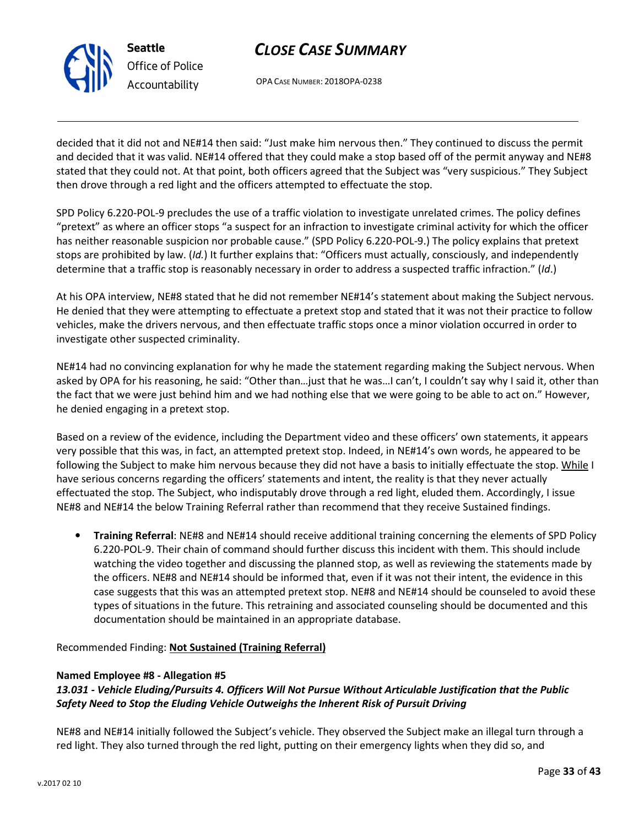

Office of Police Accountability

# CLOSE CASE SUMMARY

OPA CASE NUMBER: 2018OPA-0238

decided that it did not and NE#14 then said: "Just make him nervous then." They continued to discuss the permit and decided that it was valid. NE#14 offered that they could make a stop based off of the permit anyway and NE#8 stated that they could not. At that point, both officers agreed that the Subject was "very suspicious." They Subject then drove through a red light and the officers attempted to effectuate the stop.

SPD Policy 6.220-POL-9 precludes the use of a traffic violation to investigate unrelated crimes. The policy defines "pretext" as where an officer stops "a suspect for an infraction to investigate criminal activity for which the officer has neither reasonable suspicion nor probable cause." (SPD Policy 6.220-POL-9.) The policy explains that pretext stops are prohibited by law. (Id.) It further explains that: "Officers must actually, consciously, and independently determine that a traffic stop is reasonably necessary in order to address a suspected traffic infraction." (Id.)

At his OPA interview, NE#8 stated that he did not remember NE#14's statement about making the Subject nervous. He denied that they were attempting to effectuate a pretext stop and stated that it was not their practice to follow vehicles, make the drivers nervous, and then effectuate traffic stops once a minor violation occurred in order to investigate other suspected criminality.

NE#14 had no convincing explanation for why he made the statement regarding making the Subject nervous. When asked by OPA for his reasoning, he said: "Other than…just that he was…I can't, I couldn't say why I said it, other than the fact that we were just behind him and we had nothing else that we were going to be able to act on." However, he denied engaging in a pretext stop.

Based on a review of the evidence, including the Department video and these officers' own statements, it appears very possible that this was, in fact, an attempted pretext stop. Indeed, in NE#14's own words, he appeared to be following the Subject to make him nervous because they did not have a basis to initially effectuate the stop. While I have serious concerns regarding the officers' statements and intent, the reality is that they never actually effectuated the stop. The Subject, who indisputably drove through a red light, eluded them. Accordingly, I issue NE#8 and NE#14 the below Training Referral rather than recommend that they receive Sustained findings.

• Training Referral: NE#8 and NE#14 should receive additional training concerning the elements of SPD Policy 6.220-POL-9. Their chain of command should further discuss this incident with them. This should include watching the video together and discussing the planned stop, as well as reviewing the statements made by the officers. NE#8 and NE#14 should be informed that, even if it was not their intent, the evidence in this case suggests that this was an attempted pretext stop. NE#8 and NE#14 should be counseled to avoid these types of situations in the future. This retraining and associated counseling should be documented and this documentation should be maintained in an appropriate database.

Recommended Finding: Not Sustained (Training Referral)

#### Named Employee #8 - Allegation #5

# 13.031 - Vehicle Eluding/Pursuits 4. Officers Will Not Pursue Without Articulable Justification that the Public Safety Need to Stop the Eluding Vehicle Outweighs the Inherent Risk of Pursuit Driving

NE#8 and NE#14 initially followed the Subject's vehicle. They observed the Subject make an illegal turn through a red light. They also turned through the red light, putting on their emergency lights when they did so, and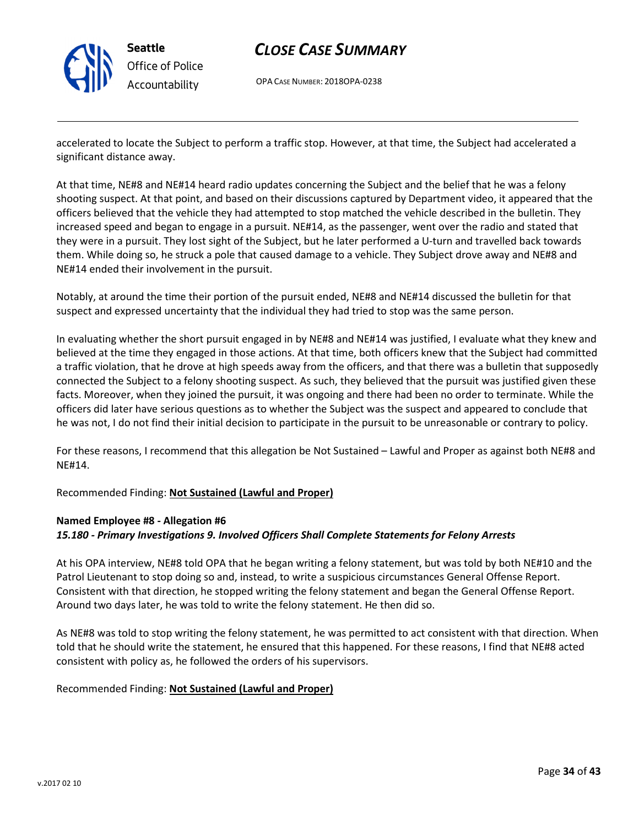

# CLOSE CASE SUMMARY

OPA CASE NUMBER: 2018OPA-0238

accelerated to locate the Subject to perform a traffic stop. However, at that time, the Subject had accelerated a significant distance away.

At that time, NE#8 and NE#14 heard radio updates concerning the Subject and the belief that he was a felony shooting suspect. At that point, and based on their discussions captured by Department video, it appeared that the officers believed that the vehicle they had attempted to stop matched the vehicle described in the bulletin. They increased speed and began to engage in a pursuit. NE#14, as the passenger, went over the radio and stated that they were in a pursuit. They lost sight of the Subject, but he later performed a U-turn and travelled back towards them. While doing so, he struck a pole that caused damage to a vehicle. They Subject drove away and NE#8 and NE#14 ended their involvement in the pursuit.

Notably, at around the time their portion of the pursuit ended, NE#8 and NE#14 discussed the bulletin for that suspect and expressed uncertainty that the individual they had tried to stop was the same person.

In evaluating whether the short pursuit engaged in by NE#8 and NE#14 was justified, I evaluate what they knew and believed at the time they engaged in those actions. At that time, both officers knew that the Subject had committed a traffic violation, that he drove at high speeds away from the officers, and that there was a bulletin that supposedly connected the Subject to a felony shooting suspect. As such, they believed that the pursuit was justified given these facts. Moreover, when they joined the pursuit, it was ongoing and there had been no order to terminate. While the officers did later have serious questions as to whether the Subject was the suspect and appeared to conclude that he was not, I do not find their initial decision to participate in the pursuit to be unreasonable or contrary to policy.

For these reasons, I recommend that this allegation be Not Sustained – Lawful and Proper as against both NE#8 and NE#14.

Recommended Finding: Not Sustained (Lawful and Proper)

# Named Employee #8 - Allegation #6

#### 15.180 - Primary Investigations 9. Involved Officers Shall Complete Statements for Felony Arrests

At his OPA interview, NE#8 told OPA that he began writing a felony statement, but was told by both NE#10 and the Patrol Lieutenant to stop doing so and, instead, to write a suspicious circumstances General Offense Report. Consistent with that direction, he stopped writing the felony statement and began the General Offense Report. Around two days later, he was told to write the felony statement. He then did so.

As NE#8 was told to stop writing the felony statement, he was permitted to act consistent with that direction. When told that he should write the statement, he ensured that this happened. For these reasons, I find that NE#8 acted consistent with policy as, he followed the orders of his supervisors.

#### Recommended Finding: Not Sustained (Lawful and Proper)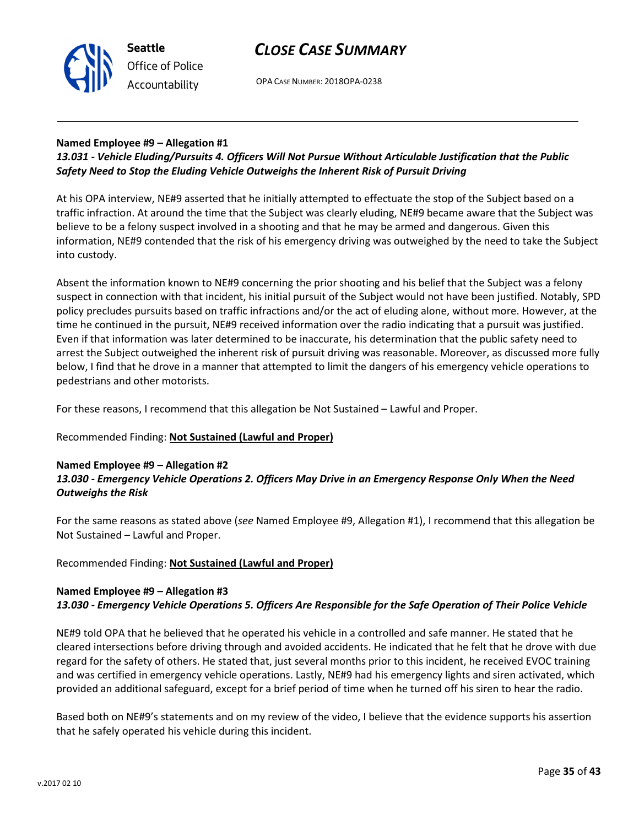

OPA CASE NUMBER: 2018OPA-0238

# Named Employee #9 – Allegation #1

# 13.031 - Vehicle Eluding/Pursuits 4. Officers Will Not Pursue Without Articulable Justification that the Public Safety Need to Stop the Eluding Vehicle Outweighs the Inherent Risk of Pursuit Driving

At his OPA interview, NE#9 asserted that he initially attempted to effectuate the stop of the Subject based on a traffic infraction. At around the time that the Subject was clearly eluding, NE#9 became aware that the Subject was believe to be a felony suspect involved in a shooting and that he may be armed and dangerous. Given this information, NE#9 contended that the risk of his emergency driving was outweighed by the need to take the Subject into custody.

Absent the information known to NE#9 concerning the prior shooting and his belief that the Subject was a felony suspect in connection with that incident, his initial pursuit of the Subject would not have been justified. Notably, SPD policy precludes pursuits based on traffic infractions and/or the act of eluding alone, without more. However, at the time he continued in the pursuit, NE#9 received information over the radio indicating that a pursuit was justified. Even if that information was later determined to be inaccurate, his determination that the public safety need to arrest the Subject outweighed the inherent risk of pursuit driving was reasonable. Moreover, as discussed more fully below, I find that he drove in a manner that attempted to limit the dangers of his emergency vehicle operations to pedestrians and other motorists.

For these reasons, I recommend that this allegation be Not Sustained – Lawful and Proper.

# Recommended Finding: Not Sustained (Lawful and Proper)

### Named Employee #9 – Allegation #2 13.030 - Emergency Vehicle Operations 2. Officers May Drive in an Emergency Response Only When the Need Outweighs the Risk

For the same reasons as stated above (see Named Employee #9, Allegation #1), I recommend that this allegation be Not Sustained – Lawful and Proper.

# Recommended Finding: Not Sustained (Lawful and Proper)

# Named Employee #9 – Allegation #3 13.030 - Emergency Vehicle Operations 5. Officers Are Responsible for the Safe Operation of Their Police Vehicle

NE#9 told OPA that he believed that he operated his vehicle in a controlled and safe manner. He stated that he cleared intersections before driving through and avoided accidents. He indicated that he felt that he drove with due regard for the safety of others. He stated that, just several months prior to this incident, he received EVOC training and was certified in emergency vehicle operations. Lastly, NE#9 had his emergency lights and siren activated, which provided an additional safeguard, except for a brief period of time when he turned off his siren to hear the radio.

Based both on NE#9's statements and on my review of the video, I believe that the evidence supports his assertion that he safely operated his vehicle during this incident.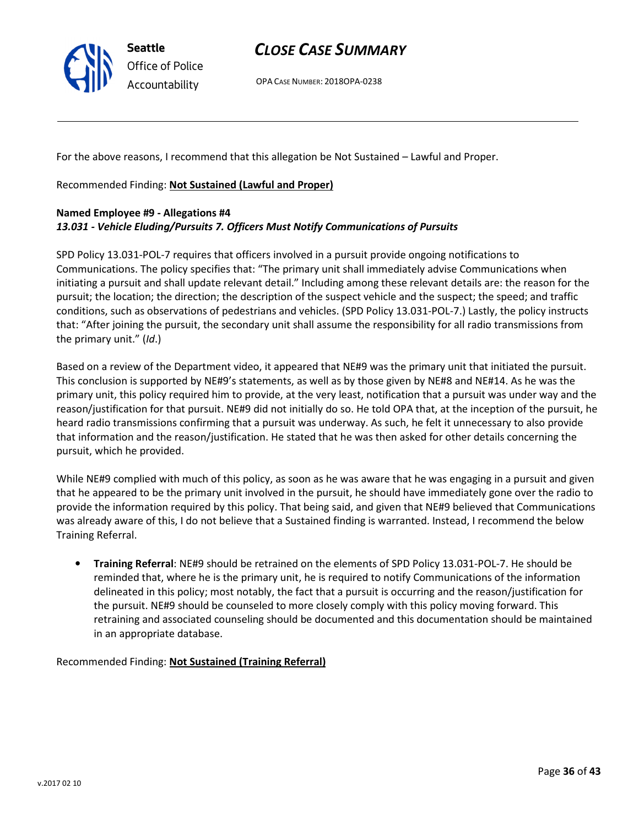

OPA CASE NUMBER: 2018OPA-0238

For the above reasons, I recommend that this allegation be Not Sustained – Lawful and Proper.

Recommended Finding: Not Sustained (Lawful and Proper)

### Named Employee #9 - Allegations #4 13.031 - Vehicle Eluding/Pursuits 7. Officers Must Notify Communications of Pursuits

SPD Policy 13.031-POL-7 requires that officers involved in a pursuit provide ongoing notifications to Communications. The policy specifies that: "The primary unit shall immediately advise Communications when initiating a pursuit and shall update relevant detail." Including among these relevant details are: the reason for the pursuit; the location; the direction; the description of the suspect vehicle and the suspect; the speed; and traffic conditions, such as observations of pedestrians and vehicles. (SPD Policy 13.031-POL-7.) Lastly, the policy instructs that: "After joining the pursuit, the secondary unit shall assume the responsibility for all radio transmissions from the primary unit." (Id.)

Based on a review of the Department video, it appeared that NE#9 was the primary unit that initiated the pursuit. This conclusion is supported by NE#9's statements, as well as by those given by NE#8 and NE#14. As he was the primary unit, this policy required him to provide, at the very least, notification that a pursuit was under way and the reason/justification for that pursuit. NE#9 did not initially do so. He told OPA that, at the inception of the pursuit, he heard radio transmissions confirming that a pursuit was underway. As such, he felt it unnecessary to also provide that information and the reason/justification. He stated that he was then asked for other details concerning the pursuit, which he provided.

While NE#9 complied with much of this policy, as soon as he was aware that he was engaging in a pursuit and given that he appeared to be the primary unit involved in the pursuit, he should have immediately gone over the radio to provide the information required by this policy. That being said, and given that NE#9 believed that Communications was already aware of this, I do not believe that a Sustained finding is warranted. Instead, I recommend the below Training Referral.

• Training Referral: NE#9 should be retrained on the elements of SPD Policy 13.031-POL-7. He should be reminded that, where he is the primary unit, he is required to notify Communications of the information delineated in this policy; most notably, the fact that a pursuit is occurring and the reason/justification for the pursuit. NE#9 should be counseled to more closely comply with this policy moving forward. This retraining and associated counseling should be documented and this documentation should be maintained in an appropriate database.

Recommended Finding: Not Sustained (Training Referral)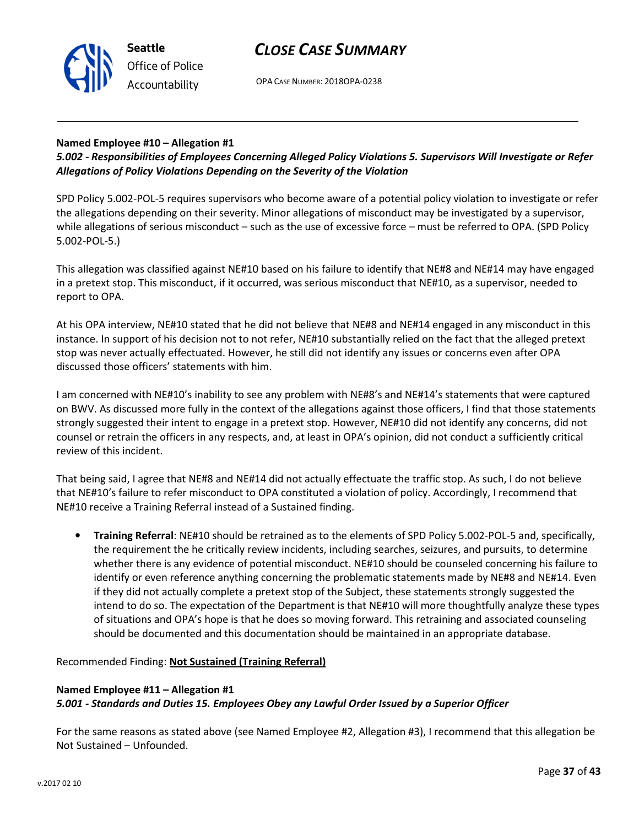



OPA CASE NUMBER: 2018OPA-0238

### Named Employee #10 – Allegation #1

5.002 - Responsibilities of Employees Concerning Alleged Policy Violations 5. Supervisors Will Investigate or Refer Allegations of Policy Violations Depending on the Severity of the Violation

SPD Policy 5.002-POL-5 requires supervisors who become aware of a potential policy violation to investigate or refer the allegations depending on their severity. Minor allegations of misconduct may be investigated by a supervisor, while allegations of serious misconduct – such as the use of excessive force – must be referred to OPA. (SPD Policy 5.002-POL-5.)

This allegation was classified against NE#10 based on his failure to identify that NE#8 and NE#14 may have engaged in a pretext stop. This misconduct, if it occurred, was serious misconduct that NE#10, as a supervisor, needed to report to OPA.

At his OPA interview, NE#10 stated that he did not believe that NE#8 and NE#14 engaged in any misconduct in this instance. In support of his decision not to not refer, NE#10 substantially relied on the fact that the alleged pretext stop was never actually effectuated. However, he still did not identify any issues or concerns even after OPA discussed those officers' statements with him.

I am concerned with NE#10's inability to see any problem with NE#8's and NE#14's statements that were captured on BWV. As discussed more fully in the context of the allegations against those officers, I find that those statements strongly suggested their intent to engage in a pretext stop. However, NE#10 did not identify any concerns, did not counsel or retrain the officers in any respects, and, at least in OPA's opinion, did not conduct a sufficiently critical review of this incident.

That being said, I agree that NE#8 and NE#14 did not actually effectuate the traffic stop. As such, I do not believe that NE#10's failure to refer misconduct to OPA constituted a violation of policy. Accordingly, I recommend that NE#10 receive a Training Referral instead of a Sustained finding.

• Training Referral: NE#10 should be retrained as to the elements of SPD Policy 5.002-POL-5 and, specifically, the requirement the he critically review incidents, including searches, seizures, and pursuits, to determine whether there is any evidence of potential misconduct. NE#10 should be counseled concerning his failure to identify or even reference anything concerning the problematic statements made by NE#8 and NE#14. Even if they did not actually complete a pretext stop of the Subject, these statements strongly suggested the intend to do so. The expectation of the Department is that NE#10 will more thoughtfully analyze these types of situations and OPA's hope is that he does so moving forward. This retraining and associated counseling should be documented and this documentation should be maintained in an appropriate database.

Recommended Finding: Not Sustained (Training Referral)

# Named Employee #11 – Allegation #1 5.001 - Standards and Duties 15. Employees Obey any Lawful Order Issued by a Superior Officer

For the same reasons as stated above (see Named Employee #2, Allegation #3), I recommend that this allegation be Not Sustained – Unfounded.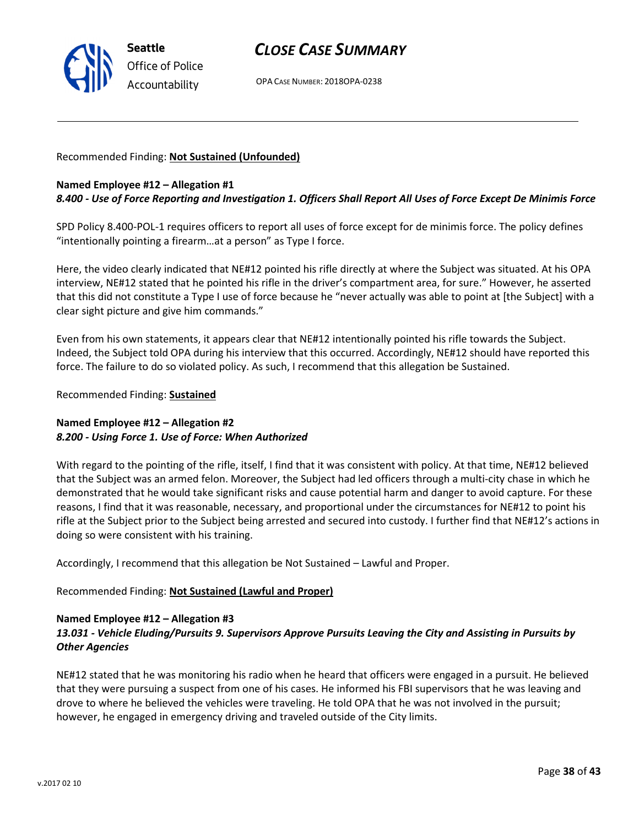

OPA CASE NUMBER: 2018OPA-0238

### Recommended Finding: Not Sustained (Unfounded)

#### Named Employee #12 – Allegation #1

### 8.400 - Use of Force Reporting and Investigation 1. Officers Shall Report All Uses of Force Except De Minimis Force

SPD Policy 8.400-POL-1 requires officers to report all uses of force except for de minimis force. The policy defines "intentionally pointing a firearm…at a person" as Type I force.

Here, the video clearly indicated that NE#12 pointed his rifle directly at where the Subject was situated. At his OPA interview, NE#12 stated that he pointed his rifle in the driver's compartment area, for sure." However, he asserted that this did not constitute a Type I use of force because he "never actually was able to point at [the Subject] with a clear sight picture and give him commands."

Even from his own statements, it appears clear that NE#12 intentionally pointed his rifle towards the Subject. Indeed, the Subject told OPA during his interview that this occurred. Accordingly, NE#12 should have reported this force. The failure to do so violated policy. As such, I recommend that this allegation be Sustained.

Recommended Finding: Sustained

### Named Employee #12 – Allegation #2 8.200 - Using Force 1. Use of Force: When Authorized

With regard to the pointing of the rifle, itself, I find that it was consistent with policy. At that time, NE#12 believed that the Subject was an armed felon. Moreover, the Subject had led officers through a multi-city chase in which he demonstrated that he would take significant risks and cause potential harm and danger to avoid capture. For these reasons, I find that it was reasonable, necessary, and proportional under the circumstances for NE#12 to point his rifle at the Subject prior to the Subject being arrested and secured into custody. I further find that NE#12's actions in doing so were consistent with his training.

Accordingly, I recommend that this allegation be Not Sustained – Lawful and Proper.

Recommended Finding: Not Sustained (Lawful and Proper)

#### Named Employee #12 – Allegation #3

# 13.031 - Vehicle Eluding/Pursuits 9. Supervisors Approve Pursuits Leaving the City and Assisting in Pursuits by Other Agencies

NE#12 stated that he was monitoring his radio when he heard that officers were engaged in a pursuit. He believed that they were pursuing a suspect from one of his cases. He informed his FBI supervisors that he was leaving and drove to where he believed the vehicles were traveling. He told OPA that he was not involved in the pursuit; however, he engaged in emergency driving and traveled outside of the City limits.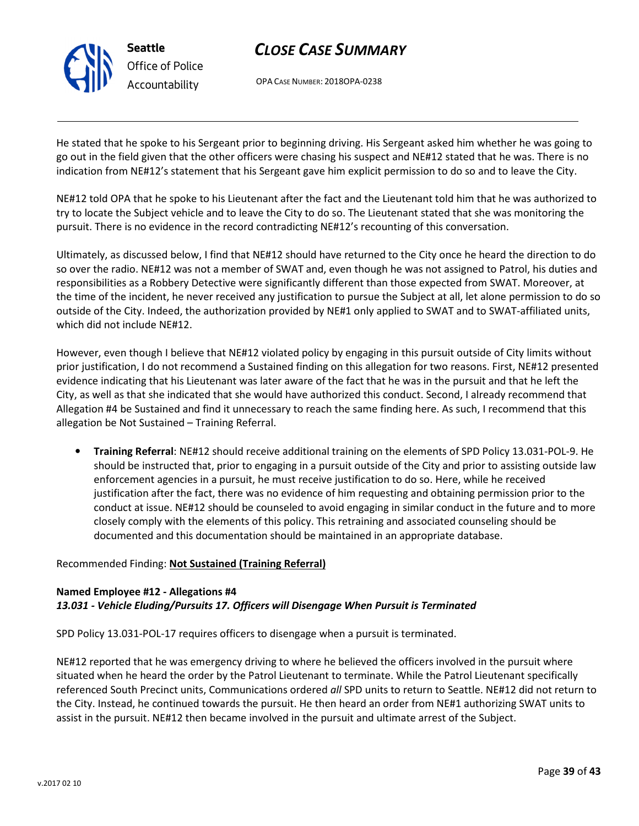

OPA CASE NUMBER: 2018OPA-0238

He stated that he spoke to his Sergeant prior to beginning driving. His Sergeant asked him whether he was going to go out in the field given that the other officers were chasing his suspect and NE#12 stated that he was. There is no indication from NE#12's statement that his Sergeant gave him explicit permission to do so and to leave the City.

NE#12 told OPA that he spoke to his Lieutenant after the fact and the Lieutenant told him that he was authorized to try to locate the Subject vehicle and to leave the City to do so. The Lieutenant stated that she was monitoring the pursuit. There is no evidence in the record contradicting NE#12's recounting of this conversation.

Ultimately, as discussed below, I find that NE#12 should have returned to the City once he heard the direction to do so over the radio. NE#12 was not a member of SWAT and, even though he was not assigned to Patrol, his duties and responsibilities as a Robbery Detective were significantly different than those expected from SWAT. Moreover, at the time of the incident, he never received any justification to pursue the Subject at all, let alone permission to do so outside of the City. Indeed, the authorization provided by NE#1 only applied to SWAT and to SWAT-affiliated units, which did not include NE#12.

However, even though I believe that NE#12 violated policy by engaging in this pursuit outside of City limits without prior justification, I do not recommend a Sustained finding on this allegation for two reasons. First, NE#12 presented evidence indicating that his Lieutenant was later aware of the fact that he was in the pursuit and that he left the City, as well as that she indicated that she would have authorized this conduct. Second, I already recommend that Allegation #4 be Sustained and find it unnecessary to reach the same finding here. As such, I recommend that this allegation be Not Sustained – Training Referral.

• Training Referral: NE#12 should receive additional training on the elements of SPD Policy 13.031-POL-9. He should be instructed that, prior to engaging in a pursuit outside of the City and prior to assisting outside law enforcement agencies in a pursuit, he must receive justification to do so. Here, while he received justification after the fact, there was no evidence of him requesting and obtaining permission prior to the conduct at issue. NE#12 should be counseled to avoid engaging in similar conduct in the future and to more closely comply with the elements of this policy. This retraining and associated counseling should be documented and this documentation should be maintained in an appropriate database.

# Recommended Finding: Not Sustained (Training Referral)

### Named Employee #12 - Allegations #4 13.031 - Vehicle Eluding/Pursuits 17. Officers will Disengage When Pursuit is Terminated

SPD Policy 13.031-POL-17 requires officers to disengage when a pursuit is terminated.

NE#12 reported that he was emergency driving to where he believed the officers involved in the pursuit where situated when he heard the order by the Patrol Lieutenant to terminate. While the Patrol Lieutenant specifically referenced South Precinct units, Communications ordered all SPD units to return to Seattle. NE#12 did not return to the City. Instead, he continued towards the pursuit. He then heard an order from NE#1 authorizing SWAT units to assist in the pursuit. NE#12 then became involved in the pursuit and ultimate arrest of the Subject.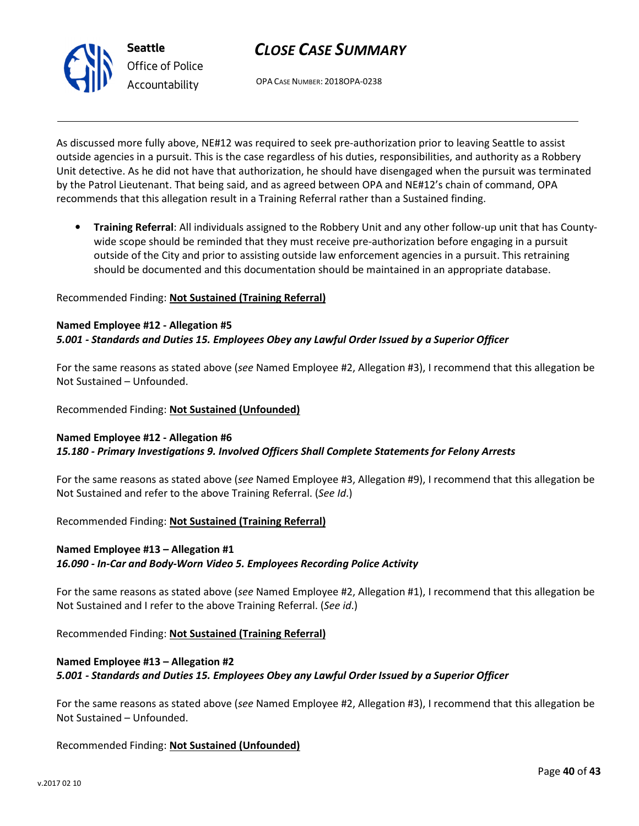

OPA CASE NUMBER: 2018OPA-0238

As discussed more fully above, NE#12 was required to seek pre-authorization prior to leaving Seattle to assist outside agencies in a pursuit. This is the case regardless of his duties, responsibilities, and authority as a Robbery Unit detective. As he did not have that authorization, he should have disengaged when the pursuit was terminated by the Patrol Lieutenant. That being said, and as agreed between OPA and NE#12's chain of command, OPA recommends that this allegation result in a Training Referral rather than a Sustained finding.

• Training Referral: All individuals assigned to the Robbery Unit and any other follow-up unit that has Countywide scope should be reminded that they must receive pre-authorization before engaging in a pursuit outside of the City and prior to assisting outside law enforcement agencies in a pursuit. This retraining should be documented and this documentation should be maintained in an appropriate database.

#### Recommended Finding: Not Sustained (Training Referral)

#### Named Employee #12 - Allegation #5 5.001 - Standards and Duties 15. Employees Obey any Lawful Order Issued by a Superior Officer

For the same reasons as stated above (see Named Employee #2, Allegation #3), I recommend that this allegation be Not Sustained – Unfounded.

Recommended Finding: Not Sustained (Unfounded)

#### Named Employee #12 - Allegation #6 15.180 - Primary Investigations 9. Involved Officers Shall Complete Statements for Felony Arrests

For the same reasons as stated above (see Named Employee #3, Allegation #9), I recommend that this allegation be Not Sustained and refer to the above Training Referral. (See Id.)

Recommended Finding: Not Sustained (Training Referral)

# Named Employee #13 – Allegation #1 16.090 - In-Car and Body-Worn Video 5. Employees Recording Police Activity

For the same reasons as stated above (see Named Employee #2, Allegation #1), I recommend that this allegation be Not Sustained and I refer to the above Training Referral. (See id.)

Recommended Finding: Not Sustained (Training Referral)

# Named Employee #13 – Allegation #2 5.001 - Standards and Duties 15. Employees Obey any Lawful Order Issued by a Superior Officer

For the same reasons as stated above (see Named Employee #2, Allegation #3), I recommend that this allegation be Not Sustained – Unfounded.

Recommended Finding: Not Sustained (Unfounded)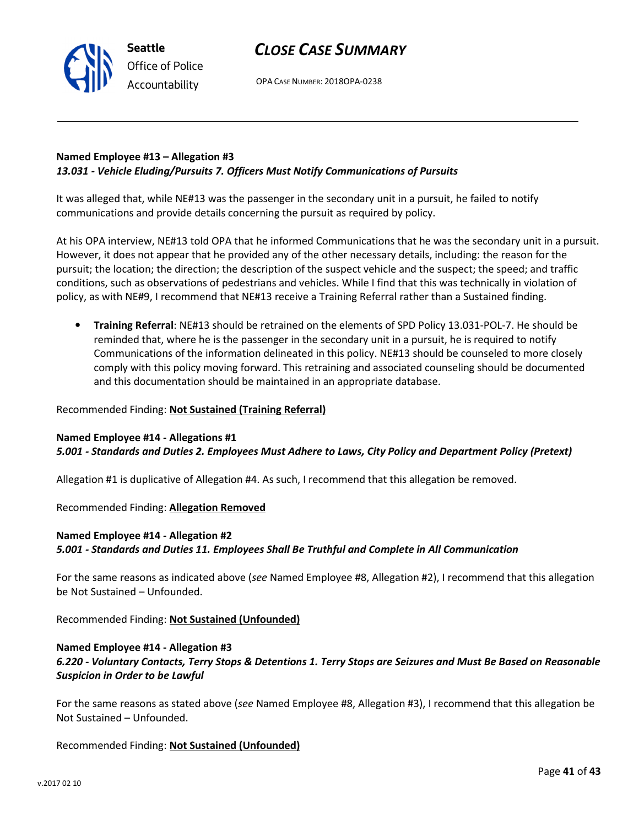OPA CASE NUMBER: 2018OPA-0238

# Named Employee #13 – Allegation #3 13.031 - Vehicle Eluding/Pursuits 7. Officers Must Notify Communications of Pursuits

It was alleged that, while NE#13 was the passenger in the secondary unit in a pursuit, he failed to notify communications and provide details concerning the pursuit as required by policy.

At his OPA interview, NE#13 told OPA that he informed Communications that he was the secondary unit in a pursuit. However, it does not appear that he provided any of the other necessary details, including: the reason for the pursuit; the location; the direction; the description of the suspect vehicle and the suspect; the speed; and traffic conditions, such as observations of pedestrians and vehicles. While I find that this was technically in violation of policy, as with NE#9, I recommend that NE#13 receive a Training Referral rather than a Sustained finding.

• Training Referral: NE#13 should be retrained on the elements of SPD Policy 13.031-POL-7. He should be reminded that, where he is the passenger in the secondary unit in a pursuit, he is required to notify Communications of the information delineated in this policy. NE#13 should be counseled to more closely comply with this policy moving forward. This retraining and associated counseling should be documented and this documentation should be maintained in an appropriate database.

#### Recommended Finding: Not Sustained (Training Referral)

#### Named Employee #14 - Allegations #1 5.001 - Standards and Duties 2. Employees Must Adhere to Laws, City Policy and Department Policy (Pretext)

Allegation #1 is duplicative of Allegation #4. As such, I recommend that this allegation be removed.

Recommended Finding: Allegation Removed

Seattle

Office of Police Accountability

#### Named Employee #14 - Allegation #2

5.001 - Standards and Duties 11. Employees Shall Be Truthful and Complete in All Communication

For the same reasons as indicated above (see Named Employee #8, Allegation #2), I recommend that this allegation be Not Sustained – Unfounded.

Recommended Finding: Not Sustained (Unfounded)

# Named Employee #14 - Allegation #3

6.220 - Voluntary Contacts, Terry Stops & Detentions 1. Terry Stops are Seizures and Must Be Based on Reasonable Suspicion in Order to be Lawful

For the same reasons as stated above (see Named Employee #8, Allegation #3), I recommend that this allegation be Not Sustained – Unfounded.

Recommended Finding: Not Sustained (Unfounded)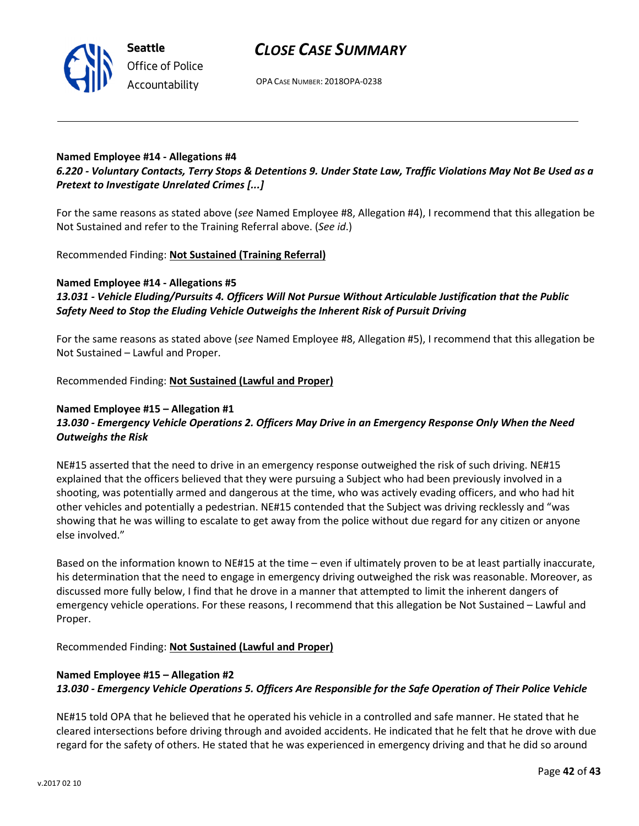

Office of Police Accountability

OPA CASE NUMBER: 2018OPA-0238

# Named Employee #14 - Allegations #4

6.220 - Voluntary Contacts, Terry Stops & Detentions 9. Under State Law, Traffic Violations May Not Be Used as a Pretext to Investigate Unrelated Crimes [...]

For the same reasons as stated above (see Named Employee #8, Allegation #4), I recommend that this allegation be Not Sustained and refer to the Training Referral above. (See id.)

Recommended Finding: Not Sustained (Training Referral)

# Named Employee #14 - Allegations #5

13.031 - Vehicle Eluding/Pursuits 4. Officers Will Not Pursue Without Articulable Justification that the Public Safety Need to Stop the Eluding Vehicle Outweighs the Inherent Risk of Pursuit Driving

For the same reasons as stated above (see Named Employee #8, Allegation #5), I recommend that this allegation be Not Sustained – Lawful and Proper.

Recommended Finding: Not Sustained (Lawful and Proper)

#### Named Employee #15 – Allegation #1 13.030 - Emergency Vehicle Operations 2. Officers May Drive in an Emergency Response Only When the Need Outweighs the Risk

NE#15 asserted that the need to drive in an emergency response outweighed the risk of such driving. NE#15 explained that the officers believed that they were pursuing a Subject who had been previously involved in a shooting, was potentially armed and dangerous at the time, who was actively evading officers, and who had hit other vehicles and potentially a pedestrian. NE#15 contended that the Subject was driving recklessly and "was showing that he was willing to escalate to get away from the police without due regard for any citizen or anyone else involved."

Based on the information known to NE#15 at the time – even if ultimately proven to be at least partially inaccurate, his determination that the need to engage in emergency driving outweighed the risk was reasonable. Moreover, as discussed more fully below, I find that he drove in a manner that attempted to limit the inherent dangers of emergency vehicle operations. For these reasons, I recommend that this allegation be Not Sustained – Lawful and Proper.

Recommended Finding: Not Sustained (Lawful and Proper)

# Named Employee #15 – Allegation #2 13.030 - Emergency Vehicle Operations 5. Officers Are Responsible for the Safe Operation of Their Police Vehicle

NE#15 told OPA that he believed that he operated his vehicle in a controlled and safe manner. He stated that he cleared intersections before driving through and avoided accidents. He indicated that he felt that he drove with due regard for the safety of others. He stated that he was experienced in emergency driving and that he did so around